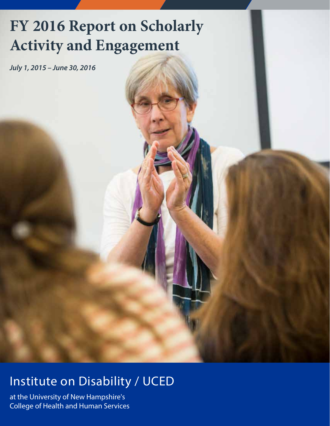# **FY 2016 Report on Scholarly Activity and Engagement**

*July 1, 2015 – June 30, 2016*

### Institute on Disability / UCED

at the University of New Hampshire's College of Health and Human Services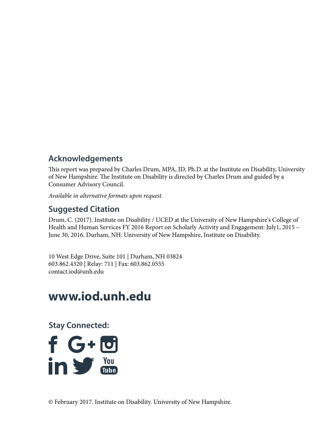#### **Acknowledgements**

This report was prepared by Charles Drum, MPA, JD, Ph.D. at the Institute on Disability, University of New Hampshire. The Institute on Disability is directed by Charles Drum and guided by a Consumer Advisory Council.

*Available in alternative formats upon request.*

#### **Suggested Citation**

Drum, C. (2017). Institute on Disability / UCED at the University of New Hampshire's College of Health and Human Services FY 2016 Report on Scholarly Activity and Engagement: July1, 2015 – June 30, 2016. Durham, NH: University of New Hampshire, Institute on Disability.

10 West Edge Drive, Suite 101 | Durham, NH 03824 603.862.4320 | Relay: 711 | Fax: 603.862.0555 contact.iod@unh.edu

### **www.iod.unh.edu**

**Stay Connected:**

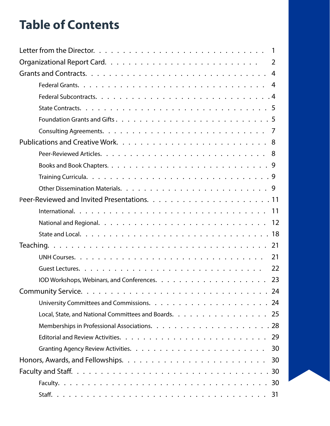### **Table of Contents**

|                                                      | 2  |
|------------------------------------------------------|----|
|                                                      | 4  |
|                                                      | 4  |
|                                                      |    |
|                                                      |    |
|                                                      |    |
|                                                      |    |
|                                                      |    |
|                                                      |    |
|                                                      |    |
|                                                      |    |
|                                                      |    |
|                                                      |    |
|                                                      |    |
|                                                      |    |
|                                                      |    |
|                                                      |    |
|                                                      | 21 |
|                                                      | 22 |
|                                                      | 23 |
|                                                      |    |
|                                                      |    |
| Local, State, and National Committees and Boards. 25 |    |
|                                                      |    |
|                                                      |    |
|                                                      |    |
|                                                      |    |
|                                                      |    |
|                                                      |    |
|                                                      |    |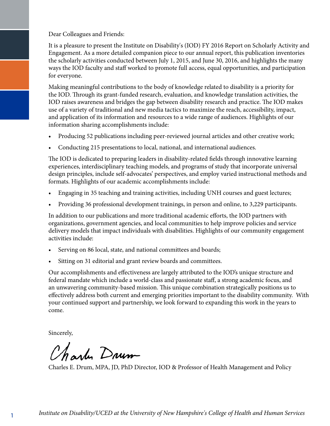Dear Colleagues and Friends:

It is a pleasure to present the Institute on Disability's (IOD) FY 2016 Report on Scholarly Activity and Engagement. As a more detailed companion piece to our annual report, this publication inventories the scholarly activities conducted between July 1, 2015, and June 30, 2016, and highlights the many ways the IOD faculty and staff worked to promote full access, equal opportunities, and participation for everyone.

Making meaningful contributions to the body of knowledge related to disability is a priority for the IOD. Through its grant-funded research, evaluation, and knowledge translation activities, the IOD raises awareness and bridges the gap between disability research and practice. The IOD makes use of a variety of traditional and new media tactics to maximize the reach, accessibility, impact, and application of its information and resources to a wide range of audiences. Highlights of our information sharing accomplishments include:

- Producing 52 publications including peer-reviewed journal articles and other creative work;
- Conducting 215 presentations to local, national, and international audiences.

The IOD is dedicated to preparing leaders in disability-related fields through innovative learning experiences, interdisciplinary teaching models, and programs of study that incorporate universal design principles, include self-advocates' perspectives, and employ varied instructional methods and formats. Highlights of our academic accomplishments include:

- Engaging in 35 teaching and training activities, including UNH courses and guest lectures;
- Providing 36 professional development trainings, in person and online, to 3,229 participants.

In addition to our publications and more traditional academic efforts, the IOD partners with organizations, government agencies, and local communities to help improve policies and service delivery models that impact individuals with disabilities. Highlights of our community engagement activities include:

- Serving on 86 local, state, and national committees and boards;
- Sitting on 31 editorial and grant review boards and committees.

Our accomplishments and effectiveness are largely attributed to the IOD's unique structure and federal mandate which include a world-class and passionate staff, a strong academic focus, and an unwavering community-based mission. This unique combination strategically positions us to effectively address both current and emerging priorities important to the disability community. With your continued support and partnership, we look forward to expanding this work in the years to come.

Sincerely,

Charles Drum

Charles E. Drum, MPA, JD, PhD Director, IOD & Professor of Health Management and Policy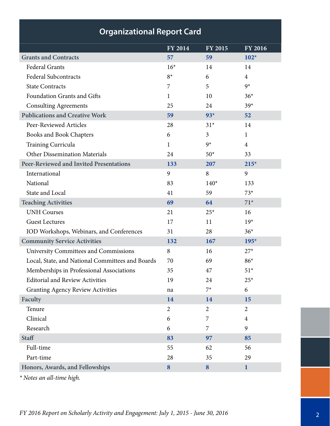|                                                  | FY 2014        | FY 2015        | <b>FY 2016</b> |
|--------------------------------------------------|----------------|----------------|----------------|
| <b>Grants and Contracts</b>                      | 57             | 59             | $102*$         |
| <b>Federal Grants</b>                            | $16*$          | 14             | 14             |
| <b>Federal Subcontracts</b>                      | $8*$           | 6              | $\overline{4}$ |
| <b>State Contracts</b>                           | 7              | 5              | $9*$           |
| Foundation Grants and Gifts                      | 1              | 10             | $36*$          |
| <b>Consulting Agreements</b>                     | 25             | 24             | $39*$          |
| <b>Publications and Creative Work</b>            | 59             | $93*$          | 52             |
| Peer-Reviewed Articles                           | 28             | $31*$          | 14             |
| <b>Books and Book Chapters</b>                   | 6              | 3              | $\mathbf{1}$   |
| Training Curricula                               | 1              | $9*$           | $\overline{4}$ |
| <b>Other Dissemination Materials</b>             | 24             | $50*$          | 33             |
| <b>Peer-Reviewed and Invited Presentations</b>   | 133            | 207            | $215*$         |
| International                                    | 9              | 8              | 9              |
| National                                         | 83             | $140*$         | 133            |
| State and Local                                  | 41             | 59             | $73*$          |
| <b>Teaching Activities</b>                       | 69             | 64             | $71*$          |
| <b>UNH Courses</b>                               | 21             | $25*$          | 16             |
| <b>Guest Lectures</b>                            | 17             | 11             | $19*$          |
| IOD Workshops, Webinars, and Conferences         | 31             | 28             | $36*$          |
| <b>Community Service Activities</b>              | 132            | 167            | $195*$         |
| <b>University Committees and Commissions</b>     | 8              | 16             | $27*$          |
| Local, State, and National Committees and Boards | 70             | 69             | $86*$          |
| Memberships in Professional Associations         | 35             | 47             | $51*$          |
| <b>Editorial and Review Activities</b>           | 19             | 24             | $25*$          |
| <b>Granting Agency Review Activities</b>         | na             | $7^*$          | 6              |
| Faculty                                          | 14             | 14             | 15             |
| Tenure                                           | $\overline{2}$ | $\overline{2}$ | $\overline{2}$ |
| Clinical                                         | 6              | 7              | $\overline{4}$ |
| Research                                         | 6              | 7              | 9              |
| <b>Staff</b>                                     | 83             | 97             | 85             |
| Full-time                                        | 55             | 62             | 56             |
| Part-time                                        | 28             | 35             | 29             |
| Honors, Awards, and Fellowships                  | 8              | 8              | $\mathbf{1}$   |

*\* Notes an all-time high.*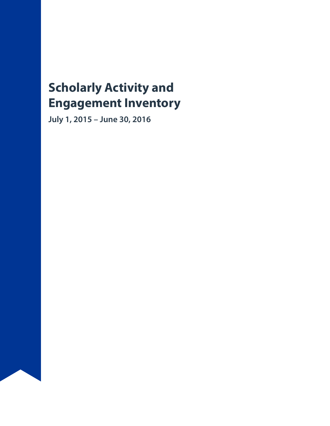### **Scholarly Activity and Engagement Inventory**

**July 1, 2015 – June 30, 2016**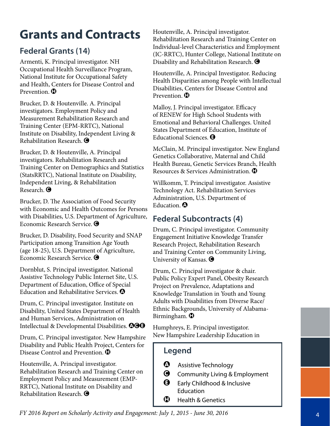## **Grants and Contracts**

#### **Federal Grants (14)**

Armenti, K. Principal investigator. NH Occupational Health Surveillance Program, National Institute for Occupational Safety and Health, Centers for Disease Control and Prevention.  $\mathbf \Omega$ 

Brucker, D. & Houtenville. A. Principal investigators. Employment Policy and Measurement Rehabilitation Research and Training Center (EPM-RRTC), National Institute on Disability, Independent Living & Rehabilitation Research.  $\bigcirc$ 

Brucker, D. & Houtenville, A. Principal investigators. Rehabilitation Research and Training Center on Demographics and Statistics (StatsRRTC), National Institute on Disability, Independent Living, & Rehabilitation Research.  $\bigcirc$ 

Brucker, D. The Association of Food Security with Economic and Health Outcomes for Persons with Disabilities, U.S. Department of Agriculture, Economic Research Service.  $\bigcirc$ 

Brucker, D. Disability, Food Security and SNAP Participation among Transition Age Youth (age 18-25), U.S. Department of Agriculture, Economic Research Service.  $\bigcirc$ 

Dornblut, S. Principal investigator. National Assistive Technology Public Internet Site, U.S. Department of Education, Office of Special Education and Rehabilitative Services.  $\boldsymbol{\Omega}$ 

Drum, C. Principal investigator. Institute on Disability, United States Department of Health and Human Services, Administration on Intellectual & Developmental Disabilities. **@@@** 

Drum, C. Principal investigator. New Hampshire Disability and Public Health Project, Centers for Disease Control and Prevention.  $\mathbf \mathbf \Box$ 

Houtenville, A. Principal investigator. Rehabilitation Research and Training Center on Employment Policy and Measurement (EMP-RRTC), National Institute on Disability and Rehabilitation Research.  $\bigcirc$ 

Houtenville, A. Principal investigator. Rehabilitation Research and Training Center on Individual-level Characteristics and Employment (IC-RRTC), Hunter College, National Institute on Disability and Rehabilitation Research.  $\bigcirc$ 

Houtenville, A. Principal Investigator. Reducing Health Disparities among People with Intellectual Disabilities, Centers for Disease Control and Prevention.  $\mathbf \Omega$ 

Malloy, J. Principal investigator. Efficacy of RENEW for High School Students with Emotional and Behavioral Challenges. United States Department of Education, Institute of Educational Sciences. **O** 

McClain, M. Principal investigator. New England Genetics Collaborative, Maternal and Child Health Bureau, Genetic Services Branch, Health Resources & Services Administration. H

Willkomm, T. Principal investigator. Assistive Technology Act. Rehabilitation Services Administration, U.S. Department of Education. **O** 

#### **Federal Subcontracts (4)**

Drum, C. Principal investigator. Community Engagement Initiative Knowledge Transfer Research Project, Rehabilitation Research and Training Center on Community Living, University of Kansas.  $\bigcirc$ 

Drum, C. Principal investigator & chair. Public Policy Expert Panel, Obesity Research Project on Prevalence, Adaptations and Knowledge Translation in Youth and Young Adults with Disabilities from Diverse Race/ Ethnic Backgrounds, University of Alabama-Birmingham.  $\mathbf 0$ 

Humphreys, E. Principal investigator. New Hampshire Leadership Education in

- $\bullet$  Assistive Technology
- **G** Community Living & Employment
- $\Theta$  Early Childhood & Inclusive Education
- $\mathbf \Theta$  Health & Genetics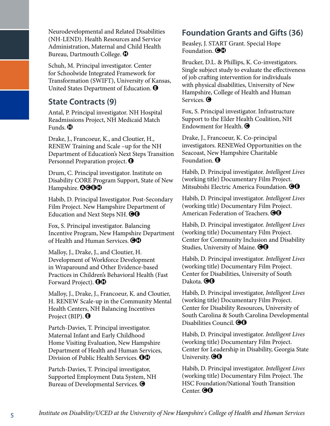Neurodevelopmental and Related Disabilities (NH-LEND). Health Resources and Service Administration, Maternal and Child Health Bureau, Dartmouth College.  $\mathbf \Theta$ 

Schuh, M. Principal investigator. Center for Schoolwide Integrated Framework for Transformation (SWIFT), University of Kansas, United States Department of Education.  $\Theta$ 

#### **State Contracts (9)**

Antal, P. Principal investigator. NH Hospital Readmissions Project, NH Medicaid Match Funds.  $\mathbf \mathbf \Theta$ 

Drake, J., Francoeur, K., and Cloutier, H., RENEW Training and Scale –up for the NH Department of Education's Next Steps Transition Personnel Preparation project. **O** 

Drum, C. Principal investigator. Institute on Disability CORE Program Support, State of New Hampshire. **QOOO** 

Habib, D. Principal Investigator. Post-Secondary Film Project. New Hampshire Department of Education and Next Steps NH.  $\Theta\Theta$ 

Fox, S. Principal investigator. Balancing Incentive Program, New Hampshire Department of Health and Human Services.  $\bigcirc$   $\bigcirc$ 

Malloy, J., Drake, J., and Cloutier, H. Development of Workforce Development in Wraparound and Other Evidence-based Practices in Children's Behavioral Health (Fast Forward Project).  $\Theta\Phi$ 

Malloy, J., Drake, J., Francoeur, K. and Cloutier, H. RENEW Scale-up in the Community Mental Health Centers, NH Balancing Incentives Project (BIP).  $\bigcirc$ 

Partch-Davies, T. Principal investigator. Maternal Infant and Early Childhood Home Visiting Evaluation, New Hampshire Department of Health and Human Services, Division of Public Health Services.  $\Theta \Phi$ 

Partch-Davies, T. Principal investigator, Supported Employment Data System, NH Bureau of Developmental Services.  $\bigcirc$ 

#### **Foundation Grants and Gifts (36)**

Beasley, J. START Grant. Special Hope Foundation.  $\Theta \Phi$ 

Brucker, D.L. & Phillips, K. Co-investigators. Single subject study to evaluate the effectiveness of job crafting intervention for individuals with physical disabilities, University of New Hampshire, College of Health and Human Services.  $\bigcirc$ 

Fox, S. Principal investigator. Infrastructure Support to the Elder Health Coalition, NH Endowment for Health.  $\bigcirc$ 

Drake, J., Francoeur, K. Co-principal investigators. RENEWed Opportunities on the Seacoast, New Hampshire Charitable Foundation.  $\boldsymbol{\Theta}$ 

Habib, D. Principal investigator. *Intelligent Lives* (working title) Documentary Film Project. Mitsubishi Electric America Foundation.  $\Theta\Theta$ 

Habib, D. Principal investigator. *Intelligent Lives* (working title) Documentary Film Project. American Federation of Teachers.  $\Theta\Theta$ 

Habib, D. Principal investigator. *Intelligent Lives* (working title) Documentary Film Project. Center for Community Inclusion and Disability Studies, University of Maine.  $\Theta\Theta$ 

Habib, D. Principal investigator. *Intelligent Lives* (working title) Documentary Film Project. Center for Disabilities, University of South Dakota. **OG** 

Habib, D. Principal investigator, *Intelligent Lives*  (working title) Documentary Film Project. Center for Disability Resources, University of South Carolina & South Carolina Developmental Disabilities Council. **OO** 

Habib, D. Principal investigator. *Intelligent Lives*  (working title) Documentary Film Project. Center for Leadership in Disability, Georgia State University.  $\Theta$  $\Theta$ 

Habib, D. Principal investigator. *Intelligent Lives*  (working title) Documentary Film Project. The HSC Foundation/National Youth Transition Center.  $\Theta$  $\Theta$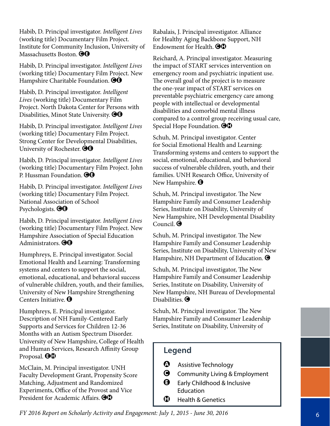Habib, D. Principal investigator. *Intelligent Lives* (working title) Documentary Film Project. Institute for Community Inclusion, University of Massachusetts Boston. **@@** 

Habib, D. Principal investigator. *Intelligent Lives* (working title) Documentary Film Project. New Hampshire Charitable Foundation.  $\Theta$  $\Theta$ 

Habib, D. Principal investigator. *Intelligent Lives* (working title) Documentary Film Project. North Dakota Center for Persons with Disabilities, Minot State University.  $\bigcirc \Theta$ 

Habib, D. Principal investigator. *Intelligent Lives*  (working title) Documentary Film Project. Strong Center for Developmental Disabilities, University of Rochester.  $\Theta\Theta$ 

Habib, D. Principal investigator. *Intelligent Lives* (working title) Documentary Film Project. John P. Hussman Foundation. **@@** 

Habib, D. Principal investigator. *Intelligent Lives*  (working title) Documentary Film Project. National Association of School Psychologists.  $\Theta$ G

Habib, D. Principal investigator. *Intelligent Lives* (working title) Documentary Film Project. New Hampshire Association of Special Education Administrators.  $\Theta$  $\Theta$ 

Humphreys, E. Principal investigator. Social Emotional Health and Learning: Transforming systems and centers to support the social, emotional, educational, and behavioral success of vulnerable children, youth, and their families, University of New Hampshire Strengthening Centers Initiative. E

Humphreys, E. Principal investigator. Description of NH Family-Centered Early Supports and Services for Children 12-36 Months with an Autism Spectrum Disorder. University of New Hampshire, College of Health and Human Services, Research Affinity Group Proposal.  $\Theta\Theta$ 

McClain, M. Principal investigator. UNH Faculty Development Grant, Propensity Score Matching, Adjustment and Randomized Experiments, Office of the Provost and Vice President for Academic Affairs.  $\bigcirc$   $\bigcirc$ 

Rabalais, J. Principal investigator. Alliance for Healthy Aging Backbone Support, NH Endowment for Health.  $\Theta \Phi$ 

Reichard, A. Principal investigator. Measuring the impact of START services intervention on emergency room and psychiatric inpatient use. The overall goal of the project is to measure the one-year impact of START services on preventable psychiatric emergency care among people with intellectual or developmental disabilities and comorbid mental illness compared to a control group receiving usual care, Special Hope Foundation.  $\Theta\Theta$ 

Schuh, M. Principal investigator. Center for Social Emotional Health and Learning: Transforming systems and centers to support the social, emotional, educational, and behavioral success of vulnerable children, youth, and their families. UNH Research Office, University of New Hampshire.  $\Theta$ 

Schuh, M. Principal investigator. The New Hampshire Family and Consumer Leadership Series, Institute on Disability, University of New Hampshire, NH Developmental Disability Council.  $\bigcirc$ 

Schuh, M. Principal investigator. The New Hampshire Family and Consumer Leadership Series, Institute on Disability, University of New Hampshire, NH Department of Education.  $\bigcirc$ 

Schuh, M. Principal investigator, The New Hampshire Family and Consumer Leadership Series, Institute on Disability, University of New Hampshire, NH Bureau of Developmental Disabilities.  $\bigcirc$ 

Schuh, M. Principal investigator. The New Hampshire Family and Consumer Leadership Series, Institute on Disability, University of

- $\bullet$  Assistive Technology
- **G** Community Living & Employment
- $\Theta$  Early Childhood & Inclusive **Education**
- $\mathbf \Theta$  Health & Genetics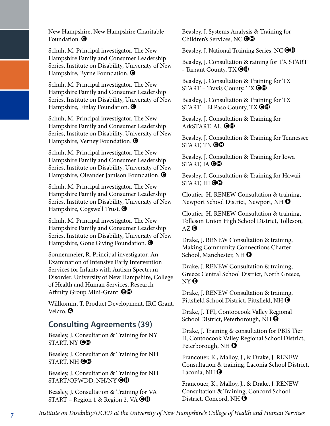New Hampshire, New Hampshire Charitable Foundation.  $\bigcirc$ 

Schuh, M. Principal investigator. The New Hampshire Family and Consumer Leadership Series, Institute on Disability, University of New Hampshire, Byrne Foundation.  $\bigcirc$ 

Schuh, M. Principal investigator. The New Hampshire Family and Consumer Leadership Series, Institute on Disability, University of New Hampshire, Finlay Foundation.  $\bigcirc$ 

Schuh, M. Principal investigator. The New Hampshire Family and Consumer Leadership Series, Institute on Disability, University of New Hampshire, Verney Foundation.  $\bigcirc$ 

Schuh, M. Principal investigator. The New Hampshire Family and Consumer Leadership Series, Institute on Disability, University of New Hampshire, Oleander Jamison Foundation.  $\bigcirc$ 

Schuh, M. Principal investigator. The New Hampshire Family and Consumer Leadership Series, Institute on Disability, University of New Hampshire, Cogswell Trust.  $\bigcirc$ 

Schuh, M. Principal investigator. The New Hampshire Family and Consumer Leadership Series, Institute on Disability, University of New Hampshire, Gone Giving Foundation.  $\bigcirc$ 

Sonnenmeier, R. Principal investigator. An Examination of Intensive Early Intervention Services for Infants with Autism Spectrum Disorder. University of New Hampshire, College of Health and Human Services, Research Affinity Group Mini-Grant. **OD** 

Willkomm, T. Product Development. IRC Grant, Velcro. <sup>1</sup>

#### **Consulting Agreements (39)**

Beasley, J. Consultation & Training for NY START, NY  $\bigcirc\mathbb{G}$ 

Beasley, J. Consultation & Training for NH START, NH $\bigcirc$ O $\hspace{-.15cm}\bullet$ 

Beasley, J. Consultation & Training for NH START/OPWDD, NH/NY **OO** 

Beasley, J. Consultation & Training for VA START – Region 1 & Region 2, VA  $\bigcirc$ 

Beasley, J. Systems Analysis & Training for Children's Services, NC OO

Beasley, J. National Training Series, NC  $\bigcirc$ 

Beasley, J. Consultation & raining for TX START - Tarrant County,  $TX$   $\Theta\Phi$ 

Beasley, J. Consultation & Training for TX  $START - Travis County, TX \bigcirc \bigcirc$ 

Beasley, J. Consultation & Training for TX START – El Paso County, TX  $\Theta \Phi$ 

Beasley, J. Consultation & Training for ArkSTART, AL. **OD** 

Beasley, J. Consultation & Training for Tennessee START, TN $\Theta$ <sup> $\Phi$ </sup>

Beasley, J. Consultation & Training for Iowa START, IA  $\Theta\Phi$ 

Beasley, J. Consultation & Training for Hawaii START, HI $\Theta\Phi$ 

Cloutier, H. RENEW Consultation & training, Newport School District, Newport, NH  $\Theta$ 

Cloutier, H. RENEW Consultation & training, Tolleson Union High School District, Tolleson,  $AZ$ <sup> $\theta$ </sup>

Drake, J. RENEW Consultation & training, Making Community Connections Charter School, Manchester, NH $\bigcirc$ 

Drake, J. RENEW Consultation & training, Greece Central School District, North Greece,  $NY<sup>Q</sup>$ 

Drake, J. RENEW Consultation & training, Pittsfield School District, Pittsfield, NH  $\Theta$ 

Drake, J. TFI, Contoocook Valley Regional School District, Peterborough, NH $\bigcirc$ 

Drake, J. Training & consultation for PBIS Tier II, Contoocook Valley Regional School District, Peterborough, NH $\Theta$ 

Francouer, K., Malloy, J., & Drake, J. RENEW Consultation & training, Laconia School District, Laconia, NH $\Theta$ 

Francouer, K., Malloy, J., & Drake, J. RENEW Consultation & Training, Concord School District, Concord, NH  $\Theta$ 

*Institute on Disability/UCED at the University of New Hampshire's College of Health and Human Services* 7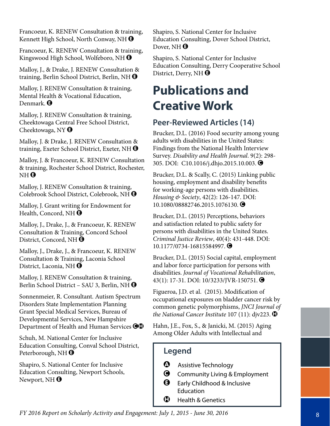Francoeur, K. RENEW Consultation & training, Kennett High School, North Conway, NH $\bigcirc$ 

Francoeur, K. RENEW Consultation & training, Kingswood High School, Wolfeboro, NH  $\Theta$ 

Malloy, J., & Drake, J. RENEW Consultation & training, Berlin School District, Berlin, NH  $\Theta$ 

Malloy, J. RENEW Consultation & training, Mental Health & Vocational Education, Denmark. **O** 

Malloy, J. RENEW Consultation & training, Cheektowaga Central Free School District, Cheektowaga, NY $\Theta$ 

Malloy, J. & Drake, J. RENEW Consultation & training, Exeter School District, Exeter, NH $\Theta$ 

Malloy, J. & Francoeur, K. RENEW Consultation & training, Rochester School District, Rochester,  $NH<sub>Q</sub>$ 

Malloy, J. RENEW Consultation & training, Colebrook School District, Colebrook, NH  $\Theta$ 

Malloy, J. Grant writing for Endowment for Health, Concord, NH $\Theta$ 

Malloy, J., Drake, J., & Francoeur, K. RENEW Consultation & Training, Concord School District, Concord, NH  $\Theta$ 

Malloy, J., Drake, J., & Francoeur, K. RENEW Consultation & Training, Laconia School District, Laconia, NH $\Theta$ 

Malloy, J. RENEW Consultation & training, Berlin School District – SAU 3, Berlin, NH  $\bigcirc$ 

Sonnenmeier, R. Consultant. Autism Spectrum Disorders State Implementation Planning Grant Special Medical Services, Bureau of Developmental Services, New Hampshire Department of Health and Human Services  $\bigcirc$ 

Schuh, M. National Center for Inclusive Education Consulting, Conval School District, Peterborough, NH $\Theta$ 

Shapiro, S. National Center for Inclusive Education Consulting, Newport Schools, Newport, NH $\bigcirc$ 

Shapiro, S. National Center for Inclusive Education Consulting, Dover School District, Dover, NH $\Theta$ 

Shapiro, S. National Center for Inclusive Education Consulting, Derry Cooperative School District, Derry, NH $\bigoplus$ 

### **Publications and Creative Work**

#### **Peer-Reviewed Articles (14)**

Brucker, D.L. (2016) Food security among young adults with disabilities in the United States: Findings from the National Health Interview Survey. *Disability and Health Journal*. 9(2): 298- 305. DOI: C10.1016/j.dhjo.2015.10.003. <sup>O</sup>

Brucker, D.L. & Scally, C. (2015) Linking public housing, employment and disability benefits for working-age persons with disabilities. *Housing & Society*, 42(2): 126-147. DOI: 10.1080/08882746.2015.1076130.  $\bigcirc$ 

Brucker, D.L. (2015) Perceptions, behaviors and satisfaction related to public safety for persons with disabilities in the United States. *Criminal Justice Review*, 40(4): 431-448. DOI: 10.1177/0734-16815584997. **●** 

Brucker, D.L. (2015) Social capital, employment and labor force participation for persons with disabilities. *Journal of Vocational Rehabilitation*, 43(1): 17-31. DOI: 10/3233/JVR-150751. ●

Figueroa, J.D. et al. (2015). Modification of occupational exposures on bladder cancer risk by common genetic polymorphisms, *JNCI Journal of the National Cancer Institute* 107 (11): djv223.  $\bullet$ 

Hahn, J.E., Fox, S., & Janicki, M. (2015) Aging Among Older Adults with Intellectual and

- $\bullet$  Assistive Technology
- **G** Community Living & Employment
- **B** Early Childhood & Inclusive Education
- $\bigoplus$  Health & Genetics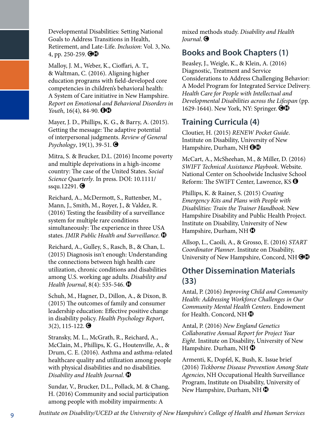Developmental Disabilities: Setting National Goals to Address Transitions in Health, Retirement, and Late-Life. *Inclusion*: Vol. 3, No. 4, pp. 250-259.  $\bigcirc$ 

Malloy, J. M., Weber, K., Cioffari, A. T., & Waltman, C. (2016). Aligning higher education programs with field-developed core competencies in children's behavioral health: A System of Care initiative in New Hampshire. *Report on Emotional and Behavioral Disorders in Youth*, 16(4), 84-90.  $\Theta \Phi$ 

Mayer, J. D., Phillips, K. G., & Barry, A. (2015). Getting the message: The adaptive potential of interpersonal judgments. *Review of General Psychology*, 19(1), 39-51. **●** 

Mitra, S. & Brucker, D.L. (2016) Income poverty and multiple deprivations in a high-income country: The case of the United States. *Social Science Quarterly*. In press. DOI: 10.1111/ ssqu.12291. $\bigcirc$ 

Reichard, A., McDermott, S., Ruttenber, M., Mann, J., Smith, M., Royer, J., & Valdez, R. (2016) Testing the feasibility of a surveillance system for multiple rare conditions simultaneously: The experience in three USA states. *JMIR Public Health and Surveillance*.  $\mathbf{\mathbf{\Theta}}$ 

Reichard, A., Gulley, S., Rasch, B., & Chan, L. (2015) Diagnosis isn't enough: Understanding the connections between high health care utilization, chronic conditions and disabilities among U.S. working age adults. *Disability and Health Journal*, 8(4): 535-546.  $\bullet$ 

Schuh, M., Hagner, D., Dillon, A., & Dixon, B. (2015) The outcomes of family and consumer leadership education: Effective positive change in disability policy. *Health Psychology Report*,  $3(2)$ , 115-122.  $\bigodot$ 

Stransky, M. L., McGrath, R., Reichard, A., McClain, M., Phillips, K. G., Houtenville, A., & Drum, C. E. (2016). Asthma and asthma-related healthcare quality and utilization among people with physical disabilities and no disabilities. *Disability and Health Journal*.  $\bigcirc$ 

Sundar, V., Brucker, D.L., Pollack, M. & Chang, H. (2016) Community and social participation among people with mobility impairments: A

mixed methods study. *Disability and Health Journal*.  $\bigcirc$ 

#### **Books and Book Chapters (1)**

Beasley, J., Weigle, K., & Klein, A. (2016) Diagnostic, Treatment and Service Considerations to Address Challenging Behavior: A Model Program for Integrated Service Delivery. *Health Care for People with Intellectual and Developmental Disabilities across the Lifespan* (pp. 1629-1644). New York, NY: Springer. **OC** 

#### **Training Curricula (4)**

Cloutier, H. (2015) *RENEW Pocket Guide*. Institute on Disability, University of New Hampshire, Durham, NH OO

McCart, A., McSheehan, M., & Miller, D. (2016) *SWIFT Technical Assistance Playbook*. Website. National Center on Schoolwide Inclusive School Reform: The SWIFT Center, Lawrence, KS  $\Theta$ 

Phillips, K. & Rainer, S. (2015) *Creating Emergency Kits and Plans with People with Disabilities: Train the Trainer Handbook*. New Hampshire Disability and Public Health Project. Institute on Disability, University of New Hampshire, Durham, NH $\bigoplus$ 

Allsop, L., Caoili, A., & Grosso, E. (2016) *START Coordinator Planner*. Institute on Disability, University of New Hampshire, Concord, NH $\bigcirc$ 

#### **Other Dissemination Materials (33)**

Antal, P. (2016) *Improving Child and Community Health: Addressing Workforce Challenges in Our Community Mental Health Centers*. Endowment for Health. Concord, NH $\bigoplus$ 

Antal, P. (2016) *New England Genetics Collaborative Annual Report for Project Year Eight*. Institute on Disability, University of New Hampshire. Durham, NH $\bigcirc$ 

Armenti, K, Dopfel, K, Bush, K. Issue brief (2016) *Tickborne Disease Prevention Among State Agencies*, NH Occupational Health Surveillance Program, Institute on Disability, University of New Hampshire, Durham, NH $\bigcirc$ 

*Institute on Disability/UCED at the University of New Hampshire's College of Health and Human Services* 9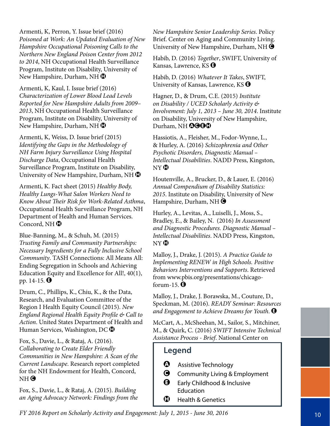Armenti, K, Perron, Y. Issue brief (2016) *Poisoned at Work: An Updated Evaluation of New Hampshire Occupational Poisoning Calls to the Northern New England Poison Center from 2012 to 2014*, NH Occupational Health Surveillance Program, Institute on Disability, University of New Hampshire, Durham, NH $\bigcirc$ 

Armenti, K, Kaul, I. Issue brief (2016) *Characterization of Lower Blood Lead Levels Reported for New Hampshire Adults from 2009– 2013*, NH Occupational Health Surveillance Program, Institute on Disability, University of New Hampshire, Durham, NH $\bigoplus$ 

Armenti, K, Weiss, D. Issue brief (2015) *Identifying the Gaps in the Methodology of NH Farm Injury Surveillance Using Hospital Discharge Data*, Occupational Health Surveillance Program, Institute on Disability, University of New Hampshire, Durham, NH $\bigcirc$ 

Armenti, K. Fact sheet (2015) *Healthy Body, Healthy Lungs-What Salon Workers Need to Know About Their Risk for Work-Related Asthma*, Occupational Health Surveillance Program, NH Department of Health and Human Services. Concord, NH $\bigcirc$ 

Blue-Banning, M., & Schuh, M. (2015) *Trusting Family and Community Partnerships: Necessary Ingredients for a Fully Inclusive School Community*. TASH Connections: All Means All: Ending Segregation in Schools and Achieving Education Equity and Excellence for All!, 40(1), pp. 14-15.  $\Theta$ 

Drum, C., Phillips, K., Chiu, K., & the Data, Research, and Evaluation Committee of the Region I Health Equity Council (2015). *New England Regional Health Equity Profile & Call to Action*. United States Department of Health and Human Services, Washington, DC $\bigcirc$ 

Fox, S., Davie, L., & Rataj, A. (2016). *Collaborating to Create Elder Friendly Communities in New Hampshire: A Scan of the Current Landscape*. Research report completed for the NH Endowment for Health, Concord, NH<sup>O</sup>

Fox, S., Davie, L., & Rataj, A. (2015). *Building an Aging Advocacy Network: Findings from the* *New Hampshire Senior Leadership Series*. Policy Brief. Center on Aging and Community Living. University of New Hampshire, Durham, NH $\bigcirc$ 

Habib, D. (2016) *Together*, SWIFT, University of Kansas, Lawrence, KS  $\Theta$ 

Habib, D. (2016) *Whatever It Takes*, SWIFT, University of Kansas, Lawrence, KS  $\Theta$ 

Hagner, D., & Drum, C.E. (2015) *Institute on Disability / UCED Scholarly Activity & Involvement: July 1, 2013 – June 30, 2014*. Institute on Disability, University of New Hampshire, Durham, NH **QGGC** 

Hassiotis, A., Fleisher, M., Fodor-Wynne, L., & Hurley, A. (2016) *Schizophrenia and Other Psychotic Disorders, Diagnostic Manual – Intellectual Disabilities*. NADD Press, Kingston,  $NY$   $\bullet$ 

Houtenville, A., Brucker, D., & Lauer, E. (2016) *Annual Compendium of Disability Statistics: 2015*. Institute on Disability, University of New Hampshire, Durham, NH $\bigcirc$ 

Hurley, A., Levitas, A., Luiselli, J., Moss, S., Bradley, E., & Bailey, N. (2016) *In Assessment and Diagnostic Procedures. Diagnostic Manual – Intellectual Disabilities*. NADD Press, Kingston,  $NY$   $\bullet$ 

Malloy, J., Drake, J. (2015). *A Practice Guide to Implementing RENEW in High Schools. Positive Behaviors Interventions and Supports*. Retrieved from www.pbis.org/presentations/chicagoforum-15.  $\Theta$ 

Malloy, J., Drake, J. Borawska, M., Couture, D., Speckman, M. (2016). *READY Seminar: Resources*  and Engagement to Achieve Dreams for Youth.  $\Theta$ 

McCart, A., McSheehan, M., Sailor, S., Mitchiner, M., & Quirk, C. (2016) *SWIFT Intensive Technical Assistance Process - Brief*. National Center on

- $\bullet$  Assistive Technology
- **G** Community Living & Employment
- $\Theta$  Early Childhood & Inclusive **Education**
- $\bigoplus$  Health & Genetics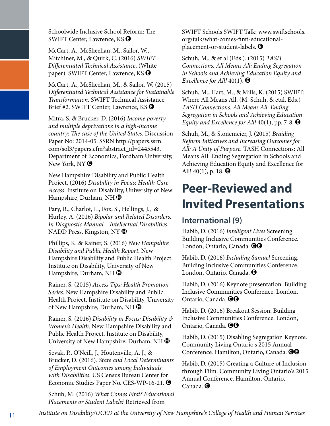Schoolwide Inclusive School Reform: The SWIFT Center, Lawrence,  $KS$   $\Theta$ 

McCart, A., McSheehan, M., Sailor, W., Mitchiner, M., & Quirk, C. (2016) *SWIFT Differentiated Technical Assistance*. (White paper). SWIFT Center, Lawrence, KS  $\Theta$ 

McCart, A., McSheehan, M., & Sailor, W. (2015) *Differentiated Technical Assistance for Sustainable Transformation*. SWIFT Technical Assistance Brief #2. SWIFT Center, Lawrence, KS  $\Theta$ 

Mitra, S. & Brucker, D. (2016) *Income poverty and multiple deprivations in a high-income country: The case of the United States*. Discussion Paper No: 2014-05. SSRN http://papers.ssrn. com/sol3/papers.cfm?abstract\_id=2445543. Department of Economics, Fordham University, New York, NY  $\bigcirc$ 

New Hampshire Disability and Public Health Project. (2016) *Disability in Focus: Health Care Access*. Institute on Disability, University of New Hampshire, Durham, NH $\bigcirc$ 

Pary, R., Charlot, L., Fox, S., Hellings, J., & Hurley, A. (2016) *Bipolar and Related Disorders. In Diagnostic Manual – Intellectual Disabilities*. NADD Press, Kingston, NY $\bigcirc$ 

Phillips, K. & Rainer, S. (2016) *New Hampshire Disability and Public Health Report*. New Hampshire Disability and Public Health Project. Institute on Disability, University of New Hampshire, Durham, NH $\bigoplus$ 

Rainer, S. (2015) *Access Tips: Health Promotion Series*. New Hampshire Disability and Public Health Project, Institute on Disability, University of New Hampshire, Durham, NH $\bigcirc$ 

Rainer, S. (2016) *Disability in Focus: Disability & Women's Health*. New Hampshire Disability and Public Health Project. Institute on Disability, University of New Hampshire, Durham, NH $\bullet$ 

Sevak, P., O'Neill, J., Houtenville, A. J., & Brucker, D. (2016). *State and Local Determinants of Employment Outcomes among Individuals with Disabilities*. US Census Bureau Center for Economic Studies Paper No. CES-WP-16-21. ●

Schuh, M. (2016) *What Comes First? Educational Placements or Student Labels?* Retrieved from

SWIFT Schools SWIFT Talk: www.swiftschools. org/talk/what-comes-first-educationalplacement-or-student-labels.  $\Theta$ 

Schuh, M., & et al (Eds.). (2015) *TASH Connections: All Means All: Ending Segregation in Schools and Achieving Education Equity and Excellence for All!*  $40(1)$ .  $\bigoplus$ 

Schuh, M., Hart, M., & Mills, K. (2015) SWIFT: Where All Means All. (M. Schuh, & etal, Eds.) *TASH Connections: All Means All: Ending Segregation in Schools and Achieving Education Equity and Excellence for All!*  $40(1)$ , pp. 7-8.  $\bigoplus$ 

Schuh, M., & Stonemeier, J. (2015) *Braiding Reform Initiatives and Increasing Outcomes for All: A Unity of Purpose.* TASH Connections: All Means All: Ending Segregation in Schools and Achieving Education Equity and Excellence for All!  $40(1)$ , p. 18.  $\Theta$ 

### **Peer-Reviewed and Invited Presentations**

#### **International (9)**

Habib, D. (2016) *Intelligent Lives* Screening. Building Inclusive Communities Conference. London, Ontario, Canada. **OO** 

Habib, D. (2016) *Including Samuel* Screening. Building Inclusive Communities Conference. London, Ontario, Canada. <sup>O</sup>

Habib, D. (2016) Keynote presentation. Building Inclusive Communities Conference. London, Ontario, Canada. **OO** 

Habib, D. (2016) Breakout Session. Building Inclusive Communities Conference. London, Ontario, Canada. **OO** 

Habib, D. (2015) Disabling Segregation Keynote. Community Living Ontario's 2015 Annual Conference. Hamilton, Ontario, Canada. <sup>30</sup>

Habib, D. (2015) Creating a Culture of Inclusion through Film. Community Living Ontario's 2015 Annual Conference. Hamilton, Ontario, Canada. $\bigcirc$ 

*Institute on Disability/UCED at the University of New Hampshire's College of Health and Human Services* 11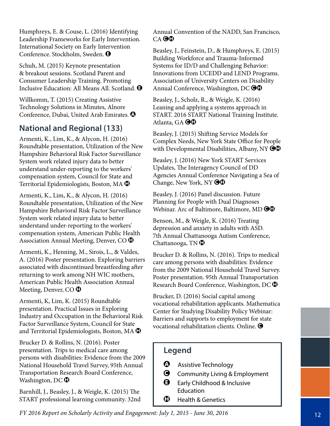Humphreys, E. & Couse, L. (2016) Identifying Leadership Frameworks for Early Intervention. International Society on Early Intervention Conference. Stockholm, Sweden.  $\Theta$ 

Schuh, M. (2015) Keynote presentation & breakout sessions. Scotland Parent and Consumer Leadership Training. Promoting Inclusive Education: All Means All. Scotland.  $\Theta$ 

Willkomm, T. (2015) Creating Assistive Technology Solutions in Minutes, Alnore Conference, Dubai, United Arab Emirates.  $\bullet$ 

#### **National and Regional (133)**

Armenti, K., Lim, K., & Alycon, H. (2016) Roundtable presentation, Utilization of the New Hampshire Behavioral Risk Factor Surveillance System work related injury data to better understand under-reporting to the workers' compensation system, Council for State and Territorial Epidemiologists, Boston, MA $\bigcirc$ 

Armenti, K., Lim, K., & Alycon, H. (2016) Roundtable presentation, Utilization of the New Hampshire Behavioral Risk Factor Surveillance System work related injury data to better understand under-reporting to the workers' compensation system, American Public Health Association Annual Meeting, Denver, CO $\bigcirc$ 

Armenti, K., Henning, M., Sirois, L., & Valdes, A. (2016) Poster presentation. Exploring barriers associated with discontinued breastfeeding after returning to work among NH WIC mothers, American Public Health Association Annual Meeting, Denver, CO $\bigoplus$ 

Armenti, K, Lim, K. (2015) Roundtable presentation. Practical Issues in Exploring Industry and Occupation in the Behavioral Risk Factor Surveillance System, Council for State and Territorial Epidemiologists, Boston, MA $\bigcirc$ 

Brucker D. & Rollins, N. (2016). Poster presentation. Trips to medical care among persons with disabilities: Evidence from the 2009 National Household Travel Survey, 95th Annual Transportation Research Board Conference, Washington,  $DC$   $\oplus$ 

Barnhill, J., Beasley, J., & Weigle, K. (2015) The START professional learning community. 32nd Annual Convention of the NADD, San Francisco,  $CA$  $<sup>60</sup>$ </sup>

Beasley, J., Feinstein, D., & Humphreys, E. (2015) Building Workforce and Trauma-Informed Systems for ID/D and Challenging Behavior: Innovations from UCEDD and LEND Programs. Association of University Centers on Disability Annual Conference, Washington, DC $\bigcirc$ 

Beasley, J., Scholz, R., & Weigle, K. (2016) Leaning and applying a systems approach in START. 2016 START National Training Institute. Atlanta, GA  $\Theta \Phi$ 

Beasley, J. (2015) Shifting Service Models for Complex Needs, New York State Office for People with Developmental Disabilities, Albany, NY  $\bigcirc \mathbb{G}$ 

Beasley, J. (2016) New York START Services Updates, The Interagency Council of DD Agencies Annual Conference Navigating a Sea of Change, New York, NY  $\bigodot$ 

Beasley, J. (2016) Panel discussion. Future Planning for People with Dual Diagnoses Webinar. Arc of Baltimore, Baltimore, MD $\bigcirc$ 

Benson, M., & Weigle, K. (2016) Treating depression and anxiety in adults with ASD. 7th Annual Chattanooga Autism Conference, Chattanooga,  $TN$   $\oplus$ 

Brucker D. & Rollins, N. (2016). Trips to medical care among persons with disabilities: Evidence from the 2009 National Household Travel Survey. Poster presentation. 95th Annual Transportation Research Board Conference, Washington, DC $\bigcirc$ 

Brucker, D. (2016) Social capital among vocational rehabilitation applicants. Mathematica Center for Studying Disability Policy Webinar: Barriers and supports to employment for state vocational rehabilitation clients. Online.  $\bigcirc$ 

- $\bullet$  Assistive Technology
- **G** Community Living & Employment
- $\Theta$  Early Childhood & Inclusive **Education**
- $\bigoplus$  Health & Genetics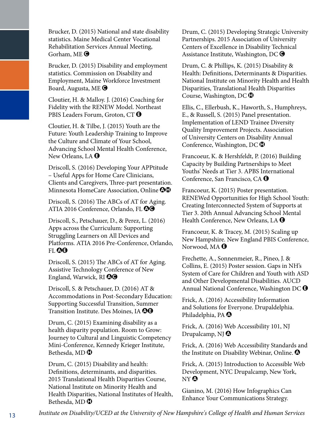Brucker, D. (2015) National and state disability statistics. Maine Medical Center Vocational Rehabilitation Services Annual Meeting, Gorham, ME $\bigcirc$ 

Brucker, D. (2015) Disability and employment statistics. Commission on Disability and Employment, Maine Workforce Investment Board, Augusta, ME $\bigcirc$ 

Cloutier, H. & Malloy. J. (2016) Coaching for Fidelity with the RENEW Model. Northeast PBIS Leaders Forum, Groton, CT  $\Theta$ 

Cloutier, H. & Tilbe, J. (2015) Youth are the Future: Youth Leadership Training to Improve the Culture and Climate of Your School, Advancing School Mental Health Conference, New Orleans, LA  $\Theta$ 

Driscoll, S. (2016) Developing Your APPtitude – Useful Apps for Home Care Clinicians, Clients and Caregivers, Three-part presentation. Minnesota HomeCare Association, Online  $\odot$ 

Driscoll, S. (2016) The ABCs of AT for Aging. ATIA 2016 Conference, Orlando, FL <sup>00</sup>

Driscoll, S., Petschauer, D., & Perez, L. (2016) Apps across the Curriculum: Supporting Struggling Learners on All Devices and Platforms. ATIA 2016 Pre-Conference, Orlando, fl **OG** 

Driscoll, S. (2015) The ABCs of AT for Aging. Assistive Technology Conference of New England, Warwick, RI $\odot$ 

Driscoll, S. & Petschauer, D. (2016) AT & Accommodations in Post-Secondary Education: Supporting Successful Transition, Summer Transition Institute. Des Moines, IA  $\Theta$ 

Drum, C. (2015) Examining disability as a health disparity population. Room to Grow: Journey to Cultural and Linguistic Competency Mini-Conference, Kennedy Krieger Institute, Bethesda, MD $\bigoplus$ 

Drum, C. (2015) Disability and health: Definitions, determinants, and disparities. 2015 Translational Health Disparities Course, National Institute on Minority Health and Health Disparities, National Institutes of Health, Bethesda, MD $\bigoplus$ 

Drum, C. (2015) Developing Strategic University Partnerships. 2015 Association of University Centers of Excellence in Disability Technical Assistance Institute, Washington, DC $\bigcirc$ 

Drum, C. & Phillips, K. (2015) Disability & Health: Definitions, Determinants & Disparities. National Institute on Minority Health and Health Disparities, Translational Health Disparities Course, Washington, DC $\bigcirc$ 

Ellis, C., Ellerbush, K., Haworth, S., Humphreys, E., & Russell, S. (2015) Panel presentation. Implementation of LEND Trainee Diversity Quality Improvement Projects. Association of University Centers on Disability Annual Conference, Washington, DC $\bigoplus$ 

Francoeur, K. & Hershfeldt, P. (2016) Building Capacity by Building Partnerships to Meet Youths' Needs at Tier 3. APBS International Conference, San Francisco, CA  $\Theta$ 

Francoeur, K. (2015) Poster presentation. RENEWed Opportunities for High School Youth: Creating Interconnected System of Supports at Tier 3. 20th Annual Advancing School Mental Health Conference, New Orleans, LA  $\Theta$ 

Francoeur, K. & Tracey, M. (2015) Scaling up New Hampshire. New England PBIS Conference, Norwood, MA  $\Theta$ 

Frechette, A., Sonnenmeier, R., Pineo, J. & Collins, E. (2015) Poster session. Gaps in NH's System of Care for Children and Youth with ASD and Other Developmental Disabilities. AUCD Annual National Conference, Washington DC  $\Theta$ 

Frick, A. (2016) Accessibility Information and Solutions for Everyone. Drupaldelphia. Philadelphia, PA $\boldsymbol{\Theta}$ 

Frick, A. (2016) Web Accessibility 101, NJ Drupalcamp, NJ  $\odot$ 

Frick, A. (2016) Web Accessibility Standards and the Institute on Disability Webinar, Online.  $\bullet$ 

Frick, A. (2015) Introduction to Accessible Web Development, NYC Drupalcamp, New York, NY A

Gianino, M. (2016) How Infographics Can Enhance Your Communications Strategy.

*Institute on Disability/UCED at the University of New Hampshire's College of Health and Human Services* 13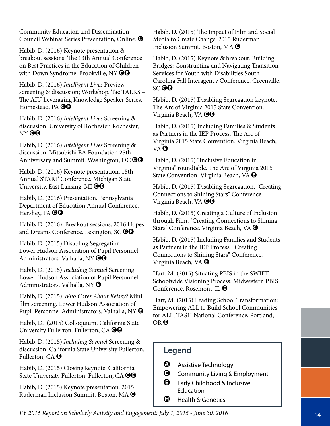Community Education and Dissemination Council Webinar Series Presentation, Online. C

Habib, D. (2016) Keynote presentation & breakout sessions. The 13th Annual Conference on Best Practices in the Education of Children with Down Syndrome. Brookville, NY  $\bigcirc\hspace{-0.9mm}\bigcirc\hspace{-0.9mm}$ 

Habib, D. (2016) *Intelligent Lives* Preview screening & discussion; Workshop. Tac TALKS – The AIU Leveraging Knowledge Speaker Series. Homestead, PA **@@** 

Habib, D. (2016) *Intelligent Lives* Screening & discussion. University of Rochester. Rochester, NY **OG** 

Habib, D. (2016) *Intelligent Lives* Screening & discussion. Mitsubishi EA Foundation 25th Anniversary and Summit. Washington, DC  $\Theta$ 

Habib, D. (2016) Keynote presentation. 15th Annual START Conference. Michigan State University, East Lansing, MI $\Theta$ Q

Habib, D. (2016) Presentation. Pennsylvania Department of Education Annual Conference. Hershey, PA  $\Theta$ G

Habib, D. (2016). Breakout sessions. 2016 Hopes and Dreams Conference. Lexington,  $SC$  $$ 

Habib, D. (2015) Disabling Segregation. Lower Hudson Association of Pupil Personnel Administrators. Valhalla, NY OO

Habib, D. (2015) *Including Samuel* Screening. Lower Hudson Association of Pupil Personnel Administrators. Valhalla, NY  $\Theta$ 

Habib, D. (2015) *Who Cares About Kelsey?* Mini film screening. Lower Hudson Association of Pupil Personnel Administrators. Valhalla, NY  $\Theta$ 

Habib, D. (2015) Colloquium. California State University Fullerton. Fullerton, CA  $\Theta$ 

Habib, D. (2015) *Including Samuel* Screening & discussion. California State University Fullerton. Fullerton, CA  $\Theta$ 

Habib, D. (2015) Closing keynote. California State University Fullerton. Fullerton, CA <sup>OO</sup>

Habib, D. (2015) Keynote presentation. 2015 Ruderman Inclusion Summit. Boston, MA C Habib, D. (2015) The Impact of Film and Social Media to Create Change. 2015 Ruderman Inclusion Summit. Boston, MA  $\bigcirc$ 

Habib, D. (2015) Keynote & breakout. Building Bridges: Constructing and Navigating Transition Services for Youth with Disabilities South Carolina Fall Interagency Conference. Greenville,  $SC$  $<sup>60</sup>$ </sup>

Habib, D. (2015) Disabling Segregation keynote. The Arc of Virginia 2015 State Convention. Virginia Beach, VA  $\Theta$  $\Theta$ 

Habib, D. (2015) Including Families & Students as Partners in the IEP Process. The Arc of Virginia 2015 State Convention. Virginia Beach, VA **O** 

Habib, D. (2015) "Inclusive Education in Virginia" roundtable. The Arc of Virginia 2015 State Convention. Virginia Beach, VA  $\Theta$ 

Habib, D. (2015) Disabling Segregation. "Creating Connections to Shining Stars" Conference. Virginia Beach, VA **OO** 

Habib, D. (2015) Creating a Culture of Inclusion through Film. "Creating Connections to Shining Stars" Conference. Virginia Beach, VA  $\bigcirc$ 

Habib, D. (2015) Including Families and Students as Partners in the IEP Process. "Creating Connections to Shining Stars" Conference. Virginia Beach, VA  $\boldsymbol{\Theta}$ 

Hart, M. (2015) Situating PBIS in the SWIFT Schoolwide Visioning Process. Midwestern PBIS Conference, Rosemont, IL  $\Theta$ 

Hart, M. (2015) Leading School Transformation: Empowering ALL to Build School Communities for ALL, TASH National Conference, Portland, OR<sup>O</sup>

- $\bullet$  Assistive Technology
- **G** Community Living & Employment
- $\Theta$  Early Childhood & Inclusive Education
- $\bigoplus$  Health & Genetics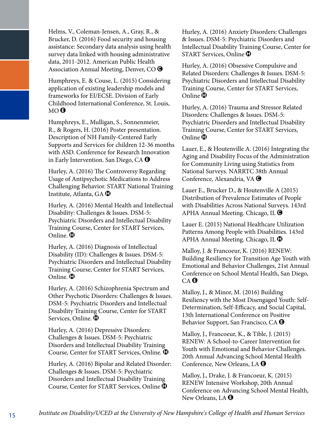Helms, V., Coleman-Jensen, A., Gray, R., & Brucker, D. (2016) Food security and housing assistance: Secondary data analysis using health survey data linked with housing administrative data, 2011-2012. American Public Health Association Annual Meeting, Denver, CO $\bigcirc$ 

Humphreys, E. & Couse, L. (2015) Considering application of existing leadership models and frameworks for EI/ECSE. Division of Early Childhood International Conference, St. Louis,  $MO$   $\Theta$ 

Humphreys, E., Mulligan, S., Sonnenmeier, R., & Rogers, H. (2016) Poster presentation. Description of NH Family-Centered Early Supports and Services for children 12-36 months with ASD. Conference for Research Innovation in Early Intervention. San Diego, CA  $\Theta$ 

Hurley, A. (2016) The Controversy Regarding Usage of Antipsychotic Medications to Address Challenging Behavior. START National Training Institute, Atlanta, GA  $\mathbf \Theta$ 

Hurley, A. (2016) Mental Health and Intellectual Disability: Challenges & Issues. DSM-5: Psychiatric Disorders and Intellectual Disability Training Course, Center for START Services, Online.  $\mathbf 0$ 

Hurley, A. (2016) Diagnosis of Intellectual Disability (ID): Challenges & Issues. DSM-5: Psychiatric Disorders and Intellectual Disability Training Course, Center for START Services, Online.  $\mathbf 0$ 

Hurley, A. (2016) Schizophrenia Spectrum and Other Psychotic Disorders: Challenges & Issues. DSM-5: Psychiatric Disorders and Intellectual Disability Training Course, Center for START Services, Online.  $\mathbf D$ 

Hurley, A. (2016) Depressive Disorders: Challenges & Issues. DSM-5: Psychiatric Disorders and Intellectual Disability Training Course, Center for START Services, Online.  $\bullet$ 

Hurley, A. (2016) Bipolar and Related Disorder: Challenges & Issues. DSM-5: Psychiatric Disorders and Intellectual Disability Training Course, Center for START Services, Online  $\mathbf \Phi$ 

Hurley, A. (2016) Anxiety Disorders: Challenges & Issues. DSM-5: Psychiatric Disorders and Intellectual Disability Training Course, Center for START Services, Online  $\mathbf \Phi$ 

Hurley, A. (2016) Obsessive Compulsive and Related Disorders: Challenges & Issues. DSM-5: Psychiatric Disorders and Intellectual Disability Training Course, Center for START Services, Online  $\mathbf 0$ 

Hurley, A. (2016) Trauma and Stressor Related Disorders: Challenges & Issues. DSM-5: Psychiatric Disorders and Intellectual Disability Training Course, Center for START Services, Online  $\mathbf 0$ 

Lauer, E., & Houtenville A. (2016) Integrating the Aging and Disability Focus of the Administration for Community Living using Statistics from National Surveys. NARRTC 38th Annual Conference, Alexandria, VA  $\bigcirc$ 

Lauer E., Brucker D., & Houtenville A (2015) Distribution of Prevalence Estimates of People with Disabilities Across National Surveys. 143rd APHA Annual Meeting. Chicago, IL  $\bigcirc$ 

Lauer E. (2015) National Healthcare Utilization Patterns Among People with Disabilities. 143rd APHA Annual Meeting. Chicago, IL  $\bigcirc$ 

Malloy, J. & Francoeur, K. (2016) RENEW: Building Resiliency for Transition Age Youth with Emotional and Behavior Challenges, 21st Annual Conference on School Mental Health, San Diego,  $CA$ <sup> $\odot$ </sup>

Malloy, J., & Minor, M. (2016) Building Resiliency with the Most Disengaged Youth: Self-Determination, Self-Efficacy, and Social Capital, 13th International Conference on Positive Behavior Support, San Francisco, CA  $\Theta$ 

Malloy, J., Francoeur, K., & Tible, J. (2015) RENEW: A School-to-Career Intervention for Youth with Emotional and Behavior Challenges. 20th Annual Advancing School Mental Health Conference, New Orleans, LA  $\Theta$ 

Malloy, J., Drake, J. & Francoeur, K. (2015) RENEW Intensive Workshop, 20th Annual Conference on Advancing School Mental Health, New Orleans, LA  $\Theta$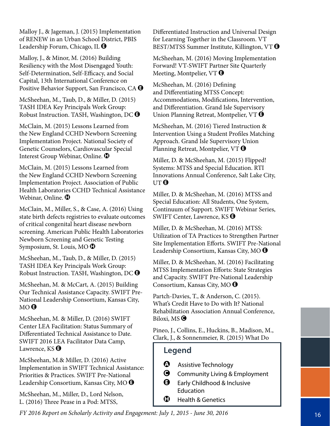Malloy J., & Jageman, J. (2015) Implementation of RENEW in an Urban School District, PBIS Leadership Forum, Chicago, IL  $\Theta$ 

Malloy, J., & Minor, M. (2016) Building Resiliency with the Most Disengaged Youth: Self-Determination, Self-Efficacy, and Social Capital, 13th International Conference on Positive Behavior Support, San Francisco, CA  $\Theta$ 

McSheehan, M., Taub, D., & Miller, D. (2015) TASH IDEA Key Principals Work Group: Robust Instruction. TASH, Washington, DC  $\Theta$ 

McClain, M. (2015) Lessons Learned from the New England CCHD Newborn Screening Implementation Project. National Society of Genetic Counselors, Cardiovascular Special Interest Group Webinar, Online.  $\bullet$ 

McClain, M. (2015) Lessons Learned from the New England CCHD Newborn Screening Implementation Project. Association of Public Health Laboratories CCHD Technical Assistance Webinar, Online. **D** 

McClain, M., Miller, S., & Case, A. (2016) Using state birth defects registries to evaluate outcomes of critical congenital heart disease newborn screening. American Public Health Laboratories Newborn Screening and Genetic Testing Symposium, St. Louis, MO $\bigoplus$ 

McSheehan, M., Taub, D., & Miller, D. (2015) TASH IDEA Key Principals Work Group: Robust Instruction. TASH, Washington, DC  $\Theta$ 

McSheehan, M. & McCart, A. (2015) Building Our Technical Assistance Capacity. SWIFT Pre-National Leadership Consortium, Kansas City,  $MO$   $\Theta$ 

McSheehan, M. & Miller, D. (2016) SWIFT Center LEA Facilitation: Status Summary of Differentiated Technical Assistance to Date. SWIFT 2016 LEA Facilitator Data Camp, Lawrence,  $KS$   $\Theta$ 

McSheehan, M.& Miller, D. (2016) Active Implementation in SWIFT Technical Assistance: Priorities & Practices. SWIFT Pre-National Leadership Consortium, Kansas City, MO E

McSheehan, M., Miller, D., Lord Nelson, L. (2016) Three Pease in a Pod: MTSS,

Differentiated Instruction and Universal Design for Learning Together in the Classroom. VT BEST/MTSS Summer Institute, Killington, VT  $\Theta$ 

McSheehan, M. (2016) Moving Implementation Forward! VT-SWIFT Partner Site Quarterly Meeting, Montpelier, VT $\Theta$ 

McSheehan, M. (2016) Defining and Differentiating MTSS Concept: Accommodations, Modifications, Intervention, and Differentiation. Grand Isle Supervisory Union Planning Retreat, Montpelier, VT  $\Theta$ 

McSheehan, M. (2016) Tiered Instruction & Intervention Using a Student Profiles Matching Approach. Grand Isle Supervisory Union Planning Retreat, Montpelier, VT  $\Theta$ 

Miller, D. & McSheehan, M. (2015) Flipped! Systems: MTSS and Special Education. RTI Innovations Annual Conference, Salt Lake City, UT<sup>O</sup>

Miller, D. & McSheehan, M. (2016) MTSS and Special Education: All Students, One System, Continuum of Support. SWIFT Webinar Series, SWIFT Center, Lawrence, KS  $\Theta$ 

Miller, D. & McSheehan, M. (2016) MTSS: Utilization of TA Practices to Strengthen Partner Site Implementation Efforts. SWIFT Pre-National Leadership Consortium, Kansas City, MO  $\Theta$ 

Miller, D. & McSheehan, M. (2016) Facilitating MTSS Implementation Efforts: State Strategies and Capacity. SWIFT Pre-National Leadership Consortium, Kansas City, MO  $\Theta$ 

Partch-Davies, T., & Anderson, C. (2015). What's Credit Have to Do with It? National Rehabilitation Association Annual Conference, Biloxi, MS $\bigcirc$ 

Pineo, J., Collins, E., Huckins, B., Madison, M., Clark, J., & Sonnenmeier, R. (2015) What Do

- $\bullet$  Assistive Technology
- **G** Community Living & Employment
- $\Theta$  Early Childhood & Inclusive Education
- $\bigoplus$  Health & Genetics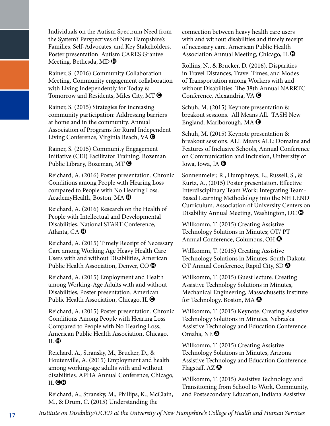Individuals on the Autism Spectrum Need from the System? Perspectives of New Hampshire's Families, Self-Advocates, and Key Stakeholders. Poster presentation. Autism CARES Grantee Meeting, Bethesda, MD $\bigoplus$ 

Rainer, S. (2016) Community Collaboration Meeting. Community engagement collaboration with Living Independently for Today & Tomorrow and Residents, Miles City, MT  $\bigcirc$ 

Rainer, S. (2015) Strategies for increasing community participation: Addressing barriers at home and in the community. Annual Association of Programs for Rural Independent Living Conference, Virginia Beach, VA  $\bigcirc$ 

Rainer, S. (2015) Community Engagement Initiative (CEI) Facilitator Training. Bozeman Public Library, Bozeman, MT  $\bigcirc$ 

Reichard, A. (2016) Poster presentation. Chronic Conditions among People with Hearing Loss compared to People with No Hearing Loss. AcademyHealth, Boston, MA $\bigoplus$ 

Reichard, A. (2016) Research on the Health of People with Intellectual and Developmental Disabilities, National START Conference, Atlanta, GA $\Phi$ 

Reichard, A. (2015) Timely Receipt of Necessary Care among Working Age Heavy Health Care Users with and without Disabilities, American Public Health Association, Denver, CO $\bigcirc$ 

Reichard, A. (2015) Employment and Health among Working-Age Adults with and without Disabilities, Poster presentation. American Public Health Association, Chicago, IL  $\bigcirc$ 

Reichard, A. (2015) Poster presentation. Chronic Conditions Among People with Hearing Loss Compared to People with No Hearing Loss, American Public Health Association, Chicago,  $II.$  $\bullet$ 

Reichard, A., Stransky, M., Brucker, D., & Houtenville, A. (2015) Employment and health among working-age adults with and without disabilities. APHA Annual Conference, Chicago, IL OO

Reichard, A., Stransky, M., Phillips, K., McClain, M., & Drum, C. (2015) Understanding the

connection between heavy health care users with and without disabilities and timely receipt of necessary care. American Public Health Association Annual Meeting, Chicago, IL  $\bigcirc$ 

Rollins, N., & Brucker, D. (2016). Disparities in Travel Distances, Travel Times, and Modes of Transportation among Workers with and without Disabilities. The 38th Annual NARRTC Conference, Alexandria, VA  $\bigcirc$ 

Schuh, M. (2015) Keynote presentation & breakout sessions. All Means All. TASH New England. Marlborough, MA  $\Theta$ 

Schuh, M. (2015) Keynote presentation & breakout sessions. ALL Means ALL: Domains and Features of Inclusive Schools, Annual Conference on Communication and Inclusion, University of Iowa, Iowa, IA  $\Theta$ 

Sonnenmeier, R., Humphreys, E., Russell, S., & Kurtz, A., (2015) Poster presentation. Effective Interdisciplinary Team Work: Integrating Team-Based Learning Methodology into the NH LEND Curriculum. Association of University Centers on Disability Annual Meeting, Washington, DC $\bigcirc$ 

Willkomm, T. (2015) Creating Assistive Technology Solutions in Minutes; OT/ PT Annual Conference, Columbus, OH  $\Omega$ 

Willkomm, T. (2015) Creating Assistive Technology Solutions in Minutes, South Dakota OT Annual Conference, Rapid City, SD  $\Omega$ 

Willkomm, T. (2015) Guest lecture. Creating Assistive Technology Solutions in Minutes, Mechanical Engineering, Massachusetts Institute for Technology. Boston, MA $\bullet$ 

Willkomm, T. (2015) Keynote. Creating Assistive Technology Solutions in Minutes. Nebraska Assistive Technology and Education Conference. Omaha, NE $\, \Omega \,$ 

Willkomm, T. (2015) Creating Assistive Technology Solutions in Minutes, Arizona Assistive Technology and Education Conference. Flagstaff, AZ $\odot$ 

Willkomm, T. (2015) Assistive Technology and Transitioning from School to Work, Community, and Postsecondary Education, Indiana Assistive

*Institute on Disability/UCED at the University of New Hampshire's College of Health and Human Services* 17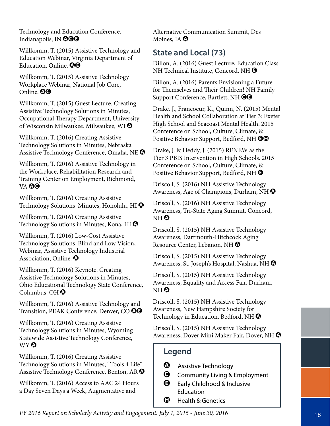Technology and Education Conference. Indianapolis, IN 000

Willkomm, T. (2015) Assistive Technology and Education Webinar, Virginia Department of Education, Online.  $\mathbf{\Theta}$ 

Willkomm, T. (2015) Assistive Technology Workplace Webinar, National Job Core, Online. **QO** 

Willkomm, T. (2015) Guest Lecture. Creating Assistive Technology Solutions in Minutes, Occupational Therapy Department, University of Wisconsin Milwaukee. Milwaukee, WI $\Omega$ 

Willkomm, T. (2016) Creating Assistive Technology Solutions in Minutes, Nebraska Assistive Technology Conference, Omaha, NE  $\bullet$ 

Willkomm, T. (2016) Assistive Technology in the Workplace, Rehabilitation Research and Training Center on Employment, Richmond, VA **OG** 

Willkomm, T. (2016) Creating Assistive Technology Solutions Minutes, Honolulu, HI  $\Omega$ 

Willkomm, T. (2016) Creating Assistive Technology Solutions in Minutes, Kona, HI  $\bullet$ 

Willkomm, T. (2016) Low-Cost Assistive Technology Solutions Blind and Low Vision, Webinar, Assistive Technology Industrial Association, Online.  $\boldsymbol{\Omega}$ 

Willkomm, T. (2016) Keynote. Creating Assistive Technology Solutions in Minutes, Ohio Educational Technology State Conference, Columbus, OH $\odot$ 

Willkomm, T. (2016) Assistive Technology and Transition, PEAK Conference, Denver, CO  $\odot$ 

Willkomm, T. (2016) Creating Assistive Technology Solutions in Minutes, Wyoming Statewide Assistive Technology Conference, WY **Q** 

Willkomm, T. (2016) Creating Assistive Technology Solutions in Minutes, "Tools 4 Life" Assistive Technology Conference, Benton, AR  $\bullet$ 

Willkomm, T. (2016) Access to AAC 24 Hours a Day Seven Days a Week, Augmentative and

Alternative Communication Summit, Des Moines, IA  $\Omega$ 

#### **State and Local (73)**

Dillon, A. (2016) Guest Lecture, Education Class. NH Technical Institute, Concord, NH  $\Theta$ 

Dillon, A. (2016) Parents Envisioning a Future for Themselves and Their Children! NH Family Support Conference, Bartlett, NH  $\Theta$ O

Drake, J., Francoeur, K., Quinn, N. (2015) Mental Health and School Collaboration at Tier 3: Exeter High School and Seacoast Mental Health. 2015 Conference on School, Culture, Climate, & Positive Behavior Support, Bedford, NH  $\Theta\Phi$ 

Drake, J. & Heddy, J. (2015) RENEW as the Tier 3 PBIS Intervention in High Schools. 2015 Conference on School, Culture, Climate, & Positive Behavior Support, Bedford, NH $\bigcirc$ 

Driscoll, S. (2016) NH Assistive Technology Awareness, Age of Champions, Durham, NH $\odot$ 

Driscoll, S. (2016) NH Assistive Technology Awareness, Tri-State Aging Summit, Concord,  $NH<sub>Q</sub>$ 

Driscoll, S. (2015) NH Assistive Technology Awareness, Dartmouth-Hitchcock Aging Resource Center, Lebanon, NH<sup>O</sup>

Driscoll, S. (2015) NH Assistive Technology Awareness, St. Joseph's Hospital, Nashua, NH  $\odot$ 

Driscoll, S. (2015) NH Assistive Technology Awareness, Equality and Access Fair, Durham,  $NH<sub>Q</sub>$ 

Driscoll, S. (2015) NH Assistive Technology Awareness, New Hampshire Society for Technology in Education, Bedford, NH $\odot$ 

Driscoll, S. (2015) NH Assistive Technology Awareness, Dover Mini Maker Fair, Dover, NH $\, \, \Omega \,$ 

- $\bullet$  Assistive Technology
- **G** Community Living & Employment
- $\bigoplus$  Early Childhood & Inclusive **Education**
- $\bigoplus$  Health & Genetics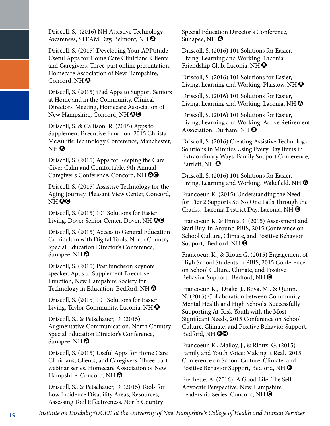Driscoll, S. (2016) NH Assistive Technology Awareness, STEAM Day, Belmont, NH  $\odot$ 

Driscoll, S. (2015) Developing Your APPtitude – Useful Apps for Home Care Clinicians, Clients and Caregivers, Three-part online presentation. Homecare Association of New Hampshire, Concord, NH $\Omega$ 

Driscoll, S. (2015) iPad Apps to Support Seniors at Home and in the Community. Clinical Directors' Meeting, Homecare Association of New Hampshire, Concord, NH  $\Theta\Theta$ 

Driscoll, S. & Callison, R. (2015) Apps to Supplement Executive Function. 2015 Christa McAuliffe Technology Conference, Manchester, NH  $\boldsymbol{\Omega}$ 

Driscoll, S. (2015) Apps for Keeping the Care Giver Calm and Comfortable. 9th Annual Caregiver's Conference, Concord, NH  $\odot$ 

Driscoll, S. (2015) Assistive Technology for the Aging Journey. Pleasant View Center, Concord, NH QO

Driscoll, S. (2015) 101 Solutions for Easier Living, Dover Senior Center, Dover, NH  $\odot$ 

Driscoll, S. (2015) Access to General Education Curriculum with Digital Tools. North Country Special Education Director's Conference, Sunapee, NH $\odot$ 

Driscoll, S. (2015) Post luncheon keynote speaker. Apps to Supplement Executive Function, New Hampshire Society for Technology in Education, Bedford, NH $\bullet$ 

Driscoll, S. (2015) 101 Solutions for Easier Living, Taylor Community, Laconia, NH $\,\Omega\,$ 

Driscoll, S., & Petschauer, D. (2015) Augmentative Communication. North Country Special Education Director's Conference, Sunapee, NH  $\odot$ 

Driscoll, S. (2015) Useful Apps for Home Care Clinicians, Clients, and Caregivers, Three-part webinar series. Homecare Association of New Hampshire, Concord, NH $\odot$ 

Driscoll, S., & Petschauer, D. (2015) Tools for Low Incidence Disability Areas; Resources; Assessing Tool Effectiveness. North Country

Special Education Director's Conference, Sunapee, NH  $\bullet$ 

Driscoll, S. (2016) 101 Solutions for Easier, Living, Learning and Working. Laconia Friendship Club, Laconia, NH  $\bullet$ 

Driscoll, S. (2016) 101 Solutions for Easier, Living, Learning and Working. Plaistow, NH $\odot$ 

Driscoll, S. (2016) 101 Solutions for Easier, Living, Learning and Working. Laconia, NH $\bullet$ 

Driscoll, S. (2016) 101 Solutions for Easier, Living, Learning and Working. Active Retirement Association, Durham, NH<sup>O</sup>

Driscoll, S. (2016) Creating Assistive Technology Solutions in Minutes Using Every Day Items in Extraordinary Ways. Family Support Conference, Bartlett, NH $\bullet$ 

Driscoll, S. (2016) 101 Solutions for Easier, Living, Learning and Working. Wakefield, NH $\odot$ 

Francoeur, K. (2015) Understanding the Need for Tier 2 Supports So No One Falls Through the Cracks, Laconia District Day, Laconia, NH  $\Theta$ 

Francoeur, K. & Ennis, C (2015) Assessment and Staff Buy-In Around PBIS, 2015 Conference on School Culture, Climate, and Positive Behavior Support, Bedford, NH $\bigcirc$ 

Francoeur, K., & Rioux G. (2015) Engagement of High School Students in PBIS, 2015 Conference on School Culture, Climate, and Positive Behavior Support, Bedford, NH $\bigcirc$ 

Francoeur, K., Drake, J., Bova, M., & Quinn, N. (2015) Collaboration between Community Mental Health and High Schools: Successfully Supporting At-Risk Youth with the Most Significant Needs, 2015 Conference on School Culture, Climate, and Positive Behavior Support, Bedford, NH $\Theta$ O

Francoeur, K., Malloy, J., & Rioux, G. (2015) Family and Youth Voice: Making It Real. 2015 Conference on School Culture, Climate, and Positive Behavior Support, Bedford, NH $\Theta$ 

Frechette, A. (2016). A Good Life: The Self-Advocate Perspective. New Hampshire Leadership Series, Concord, NH $\bigcirc$ 

*Institute on Disability/UCED at the University of New Hampshire's College of Health and Human Services* 19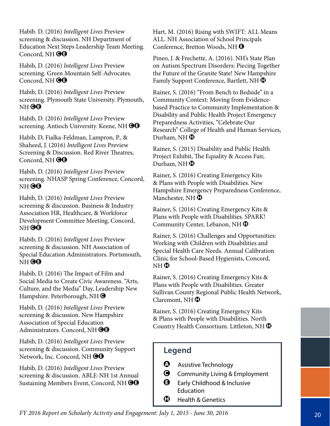Habib. D. (2016) *Intelligent Lives* Preview screening & discussion. NH Department of Education Next Steps Leadership Team Meeting. Concord, NH $\Theta$ O

Habib, D. (2016) *Intelligent Lives* Preview screening. Green Mountain Self-Advocates. Concord, NH $\Theta$ <sup>O</sup>

Habib, D. (2016) *Intelligent Lives* Preview screening. Plymouth State University. Plymouth, NH<sup>OO</sup>

Habib, D. (2016) *Intelligent Lives* Preview screening. Antioch University. Keene, NH $\Theta$ O

Habib, D, Fialka-Feldman, Lampron, P., & Shaheed, J. (2016) *Intelligent Lives* Preview Screening & Discussion. Red River Theatres, Concord, NH $\Theta$ 

Habib, D. (2016) *Intelligent Lives* Preview screening. NHASP Spring Conference, Concord, NH<sup>OO</sup>

Habib, D. (2016) *Intelligent Lives* Preview screening & discussion. Business & Industry Association HR, Healthcare, & Workforce Development Committee Meeting, Concord, NH<sup>OO</sup>

Habib, D. (2016) *Intelligent Lives* Preview screening & discussion. NH Association of Special Education Administrators. Portsmouth,  $NH<sup>60</sup>$ 

Habib, D. (2016) The Impact of Film and Social Media to Create Civic Awareness. "Arts, Culture, and the Media" Day, Leadership New Hampshire. Peterborough, NH $\bigcirc$ 

Habib, D. (2016) *Intelligent Lives* Preview screening & discussion. New Hampshire Association of Special Education Administrators. Concord, NH $\bigcirc$ G

Habib, D. (2016) *Intelligent Lives* Preview screening & discussion. Community Support Network, Inc. Concord, NH OO

Habib, D. (2016) *Intelligent Lives* Preview screening & discussion. ABLE-NH 1st Annual Sustaining Members Event, Concord, NH OO Hart, M. (2016) Rising with SWIFT: ALL Means ALL. NH Association of School Principals Conference, Bretton Woods, NH  $\Theta$ 

Pineo, J. & Frechette, A. (2016). NH's State Plan on Autism Spectrum Disorders: Piecing Together the Future of the Granite State! New Hampshire Family Support Conference, Bartlett, NH $\bigcirc$ 

Rainer, S. (2016) "From Bench to Bedside" in a Community Context: Moving from Evidencebased Practice to Community Implementation & Disability and Public Health Project Emergency Preparedness Activities, "Celebrate Our Research" College of Health and Human Services, Durham, NH $\, {\bf \oplus} \,$ 

Rainer, S. (2015) Disability and Public Health Project Exhibit, The Equality & Access Fair, Durham, NH $\bigoplus$ 

Rainer, S. (2016) Creating Emergency Kits & Plans with People with Disabilities. New Hampshire Emergency Preparedness Conference, Manchester, NH $\bigoplus$ 

Rainer, S. (2016) Creating Emergency Kits & Plans with People with Disabilities. SPARK! Community Center, Lebanon, NH $\bigcirc$ 

Rainer, S. (2016) Challenges and Opportunities: Working with Children with Disabilities and Special Health Care Needs. Annual Calibration Clinic for School-Based Hygienists, Concord,  $NH<sup>1</sup>$ 

Rainer, S. (2016) Creating Emergency Kits & Plans with People with Disabilities. Greater Sullivan County Regional Public Health Network, Claremont, NH $\bigoplus$ 

Rainer, S. (2016) Creating Emergency Kits & Plans with People with Disabilities. North Country Health Consortium. Littleton, NH $\bigcirc$ 

- $\bullet$  Assistive Technology
- **G** Community Living & Employment
- $\Theta$  Early Childhood & Inclusive Education
- $\bigoplus$  Health & Genetics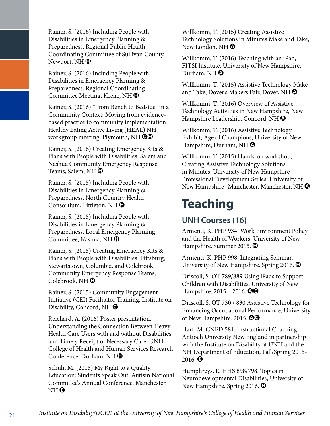Rainer, S. (2016) Including People with Disabilities in Emergency Planning & Preparedness. Regional Public Health Coordinating Committee of Sullivan County, Newport, NH $\, {\bf \oplus}$ 

Rainer, S. (2016) Including People with Disabilities in Emergency Planning & Preparedness. Regional Coordinating Committee Meeting, Keene, NH $\bigcirc$ 

Rainer, S. (2016) "From Bench to Bedside" in a Community Context: Moving from evidencebased practice to community implementation. Healthy Eating Active Living (HEAL) NH workgroup meeting, Plymouth, NH $\bigcirc$ 

Rainer, S. (2016) Creating Emergency Kits & Plans with People with Disabilities. Salem and Nashua Community Emergency Response Teams, Salem, NH $\, {\bf \oplus}$ 

Rainer, S. (2015) Including People with Disabilities in Emergency Planning & Preparedness. North Country Health Consortium, Littleton, NH $\bigoplus$ 

Rainer, S. (2015) Including People with Disabilities in Emergency Planning & Preparedness. Local Emergency Planning Committee, Nashua, NH $\bigoplus$ 

Rainer, S. (2015) Creating Emergency Kits & Plans with People with Disabilities. Pittsburg, Stewartstown, Columbia, and Colebrook Community Emergency Response Teams; Colebrook, NH $\bigoplus$ 

Rainer, S. (2015) Community Engagement Initiative (CEI) Facilitator Training. Institute on Disability, Concord, NH $\bigcirc$ 

Reichard, A. (2016) Poster presentation. Understanding the Connection Between Heavy Health Care Users with and without Disabilities and Timely Receipt of Necessary Care, UNH College of Health and Human Services Research Conference, Durham, NH $\bigoplus$ 

Schuh, M. (2015) My Right to a Quality Education: Students Speak Out. Autism National Committee's Annual Conference. Manchester, NH  $\bm{\Theta}$ 

Willkomm, T. (2015) Creating Assistive Technology Solutions in Minutes Make and Take, New London, NH $\odot$ 

Willkomm, T. (2016) Teaching with an iPad, FITSI Institute, University of New Hampshire, Durham, NH $\odot$ 

Willkomm, T. (2015) Assistive Technology Make and Take, Dover's Makers Fair, Dover, NH $\Omega$ 

Willkomm, T. (2016) Overview of Assistive Technology Activities in New Hampshire, New Hampshire Leadership, Concord, NH $\, \Omega \,$ 

Willkomm, T. (2016) Assistive Technology Exhibit, Age of Champions, University of New Hampshire, Durham, NH $\odot$ 

Willkomm, T. (2015) Hands-on workshop, Creating Assistive Technology Solutions in Minutes, University of New Hampshire Professional Development Series. University of New Hampshire -Manchester, Manchester, NH  $\odot$ 

## **Teaching**

#### **UNH Courses (16)**

Armenti, K. PHP 934. Work Environment Policy and the Health of Workers, University of New Hampshire. Summer 2015.  $\bigcirc$ 

Armenti, K. PHP 998. Integrating Seminar, University of New Hampshire. Spring 2016.  $\bullet$ 

Driscoll, S. OT 789/889 Using iPads to Support Children with Disabilities, University of New Hampshire.  $2015 - 2016$ .  $\odot$   $\odot$ 

Driscoll, S. OT 730 / 830 Assistive Technology for Enhancing Occupational Performance, University of New Hampshire. 2015.  $\textcircled{\textbf{9}}$ 

Hart, M. CNED 581. Instructional Coaching, Antioch University New England in partnership with the Institute on Disability at UNH and the NH Department of Education, Fall/Spring 2015- 2016.  $\bullet$ 

Humphreys, E. HHS 898/798. Topics in Neurodevelopmental Disabilities, University of New Hampshire. Spring 2016.  $\bullet$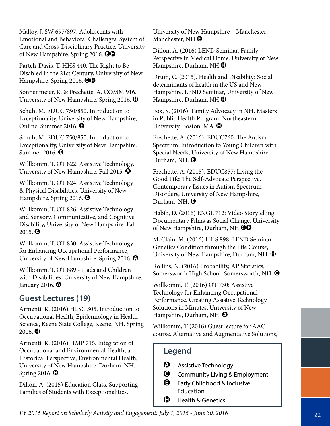Malloy, J. SW 697/897. Adolescents with Emotional and Behavioral Challenges: System of Care and Cross-Disciplinary Practice. University of New Hampshire. Spring 2016.  $\Theta\Phi$ 

Partch-Davis, T. HHS 440. The Right to Be Disabled in the 21st Century, University of New Hampshire, Spring 2016. **OD** 

Sonnenmeier, R. & Frechette, A. COMM 916. University of New Hampshire. Spring 2016.  $\bullet$ 

Schuh, M. EDUC 750/850. Introduction to Exceptionality, University of New Hampshire, Online. Summer 2016.  $\Theta$ 

Schuh, M. EDUC 750/850. Introduction to Exceptionality, University of New Hampshire. Summer 2016.  $\Theta$ 

Willkomm, T. OT 822. Assistive Technology, University of New Hampshire. Fall 2015.  $\bullet$ 

Willkomm, T. OT 824. Assistive Technology & Physical Disabilities, University of New Hampshire. Spring 2016.  $\bullet$ 

Willkomm, T. OT 826. Assistive Technology and Sensory, Communicative, and Cognitive Disability, University of New Hampshire. Fall 2015.  $\odot$ 

Willkomm, T. OT 830. Assistive Technology for Enhancing Occupational Performance, University of New Hampshire. Spring 2016.  $\bullet$ 

Willkomm, T. OT 889 - iPads and Children with Disabilities, University of New Hampshire. January 2016.  $\bullet$ 

#### **Guest Lectures (19)**

Armenti, K. (2016) HLSC 305. Introduction to Occupational Health, Epidemiology in Health Science, Keene State College, Keene, NH. Spring  $2016.$  $\bullet$ 

Armenti, K. (2016) HMP 715. Integration of Occupational and Environmental Health, a Historical Perspective, Environmental Health, University of New Hampshire, Durham, NH. Spring 2016.  $\bigcirc$ 

Dillon, A. (2015) Education Class. Supporting Families of Students with Exceptionalities.

University of New Hampshire – Manchester, Manchester, NH $\Theta$ 

Dillon, A. (2016) LEND Seminar. Family Perspective in Medical Home. University of New Hampshire, Durham, NH $\bigoplus$ 

Drum, C. (2015). Health and Disability: Social determinants of health in the US and New Hampshire. LEND Seminar, University of New Hampshire, Durham, NH $\bigoplus$ 

Fox, S. (2016). Family Advocacy in NH. Masters in Public Health Program. Northeastern University, Boston, MA.  $\mathbf \oplus$ 

Frechette, A. (2016). EDUC760. The Autism Spectrum: Introduction to Young Children with Special Needs, University of New Hampshire, Durham, NH.  $\Theta$ 

Frechette, A. (2015). EDUC857: Living the Good Life: The Self-Advocate Perspective. Contemporary Issues in Autism Spectrum Disorders, University of New Hampshire, Durham, NH.  $\Theta$ 

Habib, D. (2016) ENGL 712: Video Storytelling. Documentary Films as Social Change, University of New Hampshire, Durham, NH $\Theta$  $\Theta$ 

McClain, M. (2016) HHS 898: LEND Seminar. Genetics Condition through the Life Course, University of New Hampshire, Durham, NH.  $\bigcirc$ 

Rollins, N. (2016) Probability, AP Statistics, Somersworth High School, Somersworth, NH.  $\bigcirc$ 

Willkomm, T. (2016) OT 730: Assistive Technology for Enhancing Occupational Performance. Creating Assistive Technology Solutions in Minutes, University of New Hampshire, Durham, NH.  $\odot$ 

Willkomm, T (2016) Guest lecture for AAC course. Alternative and Augmentative Solutions,

- **4** Assistive Technology
- **G** Community Living & Employment
- $\bigoplus$  Early Childhood & Inclusive **Education**
- $\mathbf \Theta$  Health & Genetics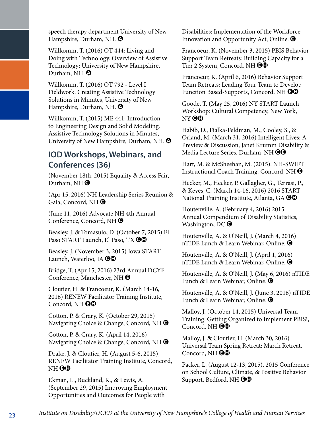speech therapy department University of New Hampshire, Durham, NH.  $\odot$ 

Willkomm, T. (2016) OT 444: Living and Doing with Technology. Overview of Assistive Technology; University of New Hampshire, Durham, NH.  $\bullet$ 

Willkomm, T. (2016) OT 792 - Level I Fieldwork. Creating Assistive Technology Solutions in Minutes, University of New Hampshire, Durham, NH.  $\odot$ 

Willkomm, T. (2015) ME 441: Introduction to Engineering Design and Solid Modeling. Assistive Technology Solutions in Minutes, University of New Hampshire, Durham, NH.  $\odot$ 

#### **IOD Workshops, Webinars, and Conferences (36)**

(November 18th, 2015) Equality & Access Fair, Durham, NH $\bigcirc$ 

(Apr 15, 2016) NH Leadership Series Reunion & Gala, Concord, NHO

(June 11, 2016) Advocate NH 4th Annual Conference, Concord, NH $\bigcirc$ 

Beasley, J. & Tomasulo, D. (October 7, 2015) El Paso START Launch, El Paso, TX OO

Beasley, J. (November 3, 2015) Iowa START Launch, Waterloo, IA  $\Theta\Phi$ 

Bridge, T. (Apr 15, 2016) 23rd Annual DCYF Conference, Manchester, NH $\Theta$ 

Cloutier, H. & Francoeur, K. (March 14-16, 2016) RENEW Facilitator Training Institute, Concord, NH $\Theta$ <sup> $\Phi$ </sup>

Cotton, P. & Crary, K. (October 29, 2015) Navigating Choice & Change, Concord, NH $\bigcirc$ 

Cotton, P. & Crary, K. (April 14, 2016) Navigating Choice & Change, Concord, NH $\bigcirc$ 

Drake, J. & Cloutier, H. (August 5-6, 2015), RENEW Facilitator Training Institute, Concord, NH  $\mathbf{\Theta}\mathbf{\Omega}$ 

Ekman, L., Buckland, K., & Lewis, A. (September 29, 2015) Improving Employment Opportunities and Outcomes for People with

Disabilities: Implementation of the Workforce Innovation and Opportunity Act, Online.  $\bigcirc$ 

Francoeur, K. (November 3, 2015) PBIS Behavior Support Team Retreats: Building Capacity for a Tier 2 System, Concord, NH **OO** 

Francoeur, K. (April 6, 2016) Behavior Support Team Retreats: Leading Your Team to Develop Function Based-Supports, Concord, NH $\Theta\Phi$ 

Goode, T. (May 25, 2016) NY START Launch Workshop: Cultural Competency, New York, NY OO

Habib, D., Fialka-Feldman, M., Cooley, S., & Orland, M. (March 31, 2016) Intelligent Lives: A Preview & Discussion, Janet Krumm Disability & Media Lecture Series. Durham, NH @@

Hart, M. & McSheehan, M. (2015). NH-SWIFT Instructional Coach Training. Concord, NH $\bigcirc$ 

Hecker, M., Hecker, P. Gallagher, G., Terrasi, P., & Keyes, C. (March 14-16, 2016) 2016 START National Training Institute, Atlanta, GA  $\bigcirc$ 

Houtenville, A. (February 4, 2016) 2015 Annual Compendium of Disability Statistics, Washington,  $DC$   $\bigodot$ 

Houtenville, A. & O'Neill, J. (March 4, 2016) nTIDE Lunch & Learn Webinar, Online. <sup>O</sup>

Houtenville, A. & O'Neill, J. (April 1, 2016) nTIDE Lunch & Learn Webinar, Online.  $\bigcirc$ 

Houtenville, A. & O'Neill, J. (May 6, 2016) nTIDE Lunch & Learn Webinar, Online.  $\bigcirc$ 

Houtenville, A. & O'Neill, J. (June 3, 2016) nTIDE Lunch & Learn Webinar, Online.  $\bigcirc$ 

Malloy, J. (October 14, 2015) Universal Team Training: Getting Organized to Implement PBIS!, Concord, NH $\Theta$ <sup> $\Phi$ </sup>

Malloy, J. & Cloutier, H. (March 30, 2016) Universal Team Spring Retreat: March Retreat, Concord, NH $\Theta$  $\Phi$ 

Packer, L. (August 12-13, 2015), 2015 Conference on School Culture, Climate, & Positive Behavior Support, Bedford, NH $\Theta$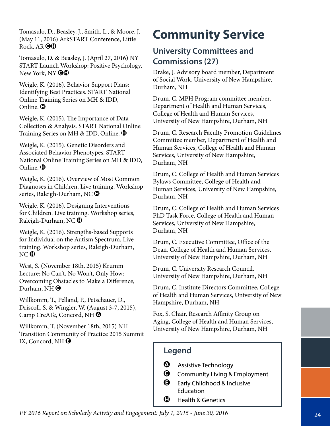Tomasulo, D., Beasley, J., Smith, L., & Moore, J. (May 11, 2016) ArkSTART Conference, Little Rock, AR $\Theta$  $\Omega$ 

Tomasulo, D. & Beasley, J. (April 27, 2016) NY START Launch Workshop: Positive Psychology, New York, NY  $\bigcirc\mathbb{G}$ 

Weigle, K. (2016). Behavior Support Plans: Identifying Best Practices. START National Online Training Series on MH & IDD, Online.  $\mathbf 0$ 

Weigle, K. (2015). The Importance of Data Collection & Analysis. START National Online Training Series on MH & IDD, Online.  $\bigcirc$ 

Weigle, K. (2015). Genetic Disorders and Associated Behavior Phenotypes. START National Online Training Series on MH & IDD, Online.  $\mathbf \Omega$ 

Weigle, K. (2016). Overview of Most Common Diagnoses in Children. Live training. Workshop series, Raleigh-Durham, NC $\bigcirc$ 

Weigle, K. (2016). Designing Interventions for Children. Live training. Workshop series, Raleigh-Durham, NC $\bigcirc$ 

Weigle, K. (2016). Strengths-based Supports for Individual on the Autism Spectrum. Live training. Workshop series, Raleigh-Durham,  $NC$   $\bullet$ 

West, S. (November 18th, 2015) Krumm Lecture: No Can't, No Won't, Only How: Overcoming Obstacles to Make a Difference, Durham, NH $\bigcirc$ 

Willkomm, T., Pelland, P., Petschauer, D., Driscoll, S. & Wingler, W. (August 3-7, 2015), Camp CreATe, Concord, NH<sup>O</sup>

Willkomm, T. (November 18th, 2015) NH Transition Community of Practice 2015 Summit IX, Concord, NH $\Theta$ 

### **Community Service**

#### **University Committees and Commissions (27)**

Drake, J. Advisory board member, Department of Social Work, University of New Hampshire, Durham, NH

Drum, C. MPH Program committee member, Department of Health and Human Services, College of Health and Human Services, University of New Hampshire, Durham, NH

Drum, C. Research Faculty Promotion Guidelines Committee member, Department of Health and Human Services, College of Health and Human Services, University of New Hampshire, Durham, NH

Drum, C. College of Health and Human Services Bylaws Committee, College of Health and Human Services, University of New Hampshire, Durham, NH

Drum, C. College of Health and Human Services PhD Task Force, College of Health and Human Services, University of New Hampshire, Durham, NH

Drum, C. Executive Committee, Office of the Dean, College of Health and Human Services, University of New Hampshire, Durham, NH

Drum, C. University Research Council, University of New Hampshire, Durham, NH

Drum, C. Institute Directors Committee, College of Health and Human Services, University of New Hampshire, Durham, NH

Fox, S. Chair, Research Affinity Group on Aging, College of Health and Human Services, University of New Hampshire, Durham, NH

- A Assistive Technology
- **G** Community Living & Employment
- Early Childhood & Inclusive Education
- Health & Genetics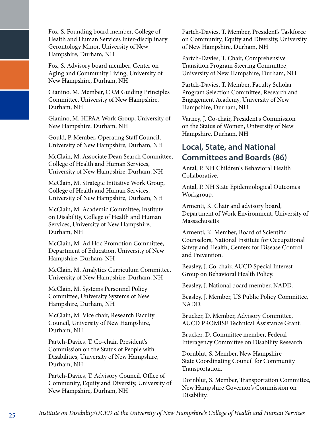Fox, S. Founding board member, College of Health and Human Services Inter-disciplinary Gerontology Minor, University of New Hampshire, Durham, NH

Fox, S. Advisory board member, Center on Aging and Community Living, University of New Hampshire, Durham, NH

Gianino, M. Member, CRM Guiding Principles Committee, University of New Hampshire, Durham, NH

Gianino, M. HIPAA Work Group, University of New Hampshire, Durham, NH

Gould, P. Member, Operating Staff Council, University of New Hampshire, Durham, NH

McClain, M. Associate Dean Search Committee, College of Health and Human Services, University of New Hampshire, Durham, NH

McClain, M. Strategic Initiative Work Group, College of Health and Human Services, University of New Hampshire, Durham, NH

McClain, M. Academic Committee, Institute on Disability, College of Health and Human Services, University of New Hampshire, Durham, NH

McClain, M. Ad Hoc Promotion Committee, Department of Education, University of New Hampshire, Durham, NH

McClain, M. Analytics Curriculum Committee, University of New Hampshire, Durham, NH

McClain, M. Systems Personnel Policy Committee, University Systems of New Hampshire, Durham, NH

McClain, M. Vice chair, Research Faculty Council, University of New Hampshire, Durham, NH

Partch-Davies, T. Co-chair, President's Commission on the Status of People with Disabilities, University of New Hampshire, Durham, NH

Partch-Davies, T. Advisory Council, Office of Community, Equity and Diversity, University of New Hampshire, Durham, NH

Partch-Davies, T. Member, President's Taskforce on Community, Equity and Diversity, University of New Hampshire, Durham, NH

Partch-Davies, T. Chair, Comprehensive Transition Program Steering Committee, University of New Hampshire, Durham, NH

Partch-Davies, T. Member, Faculty Scholar Program Selection Committee, Research and Engagement Academy, University of New Hampshire, Durham, NH

Varney, J. Co-chair, President's Commission on the Status of Women, University of New Hampshire, Durham, NH

#### **Local, State, and National Committees and Boards (86)**

Antal, P. NH Children's Behavioral Health Collaborative.

Antal, P. NH State Epidemiological Outcomes Workgroup.

Armenti, K. Chair and advisory board, Department of Work Environment, University of Massachusetts

Armenti, K. Member, Board of Scientific Counselors, National Institute for Occupational Safety and Health, Centers for Disease Control and Prevention.

Beasley, J. Co-chair, AUCD Special Interest Group on Behavioral Health Policy.

Beasley, J. National board member, NADD.

Beasley, J. Member, US Public Policy Committee, NADD.

Brucker, D. Member, Advisory Committee, AUCD PROMISE Technical Assistance Grant.

Brucker, D. Committee member, Federal Interagency Committee on Disability Research.

Dornblut, S. Member, New Hampshire State Coordinating Council for Community Transportation.

Dornblut, S. Member, Transportation Committee, New Hampshire Governor's Commission on Disability.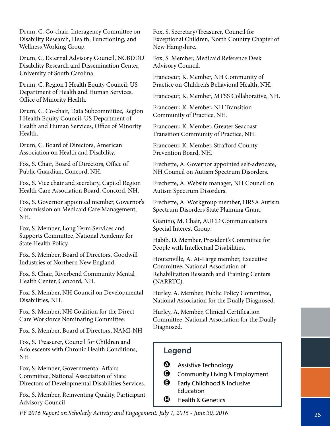Drum, C. Co-chair, Interagency Committee on Disability Research, Health, Functioning, and Wellness Working Group.

Drum, C. External Advisory Council, NCBDDD Disability Research and Dissemination Center, University of South Carolina.

Drum, C. Region I Health Equity Council, US Department of Health and Human Services, Office of Minority Health.

Drum, C. Co-chair, Data Subcommittee, Region I Health Equity Council, US Department of Health and Human Services, Office of Minority Health.

Drum, C. Board of Directors, American Association on Health and Disability.

Fox, S. Chair, Board of Directors, Office of Public Guardian, Concord, NH.

Fox, S. Vice chair and secretary, Capitol Region Health Care Association Board, Concord, NH.

Fox, S. Governor appointed member, Governor's Commission on Medicaid Care Management, NH.

Fox, S. Member, Long Term Services and Supports Committee, National Academy for State Health Policy.

Fox, S. Member, Board of Directors, Goodwill Industries of Northern New England.

Fox, S. Chair, Riverbend Community Mental Health Center, Concord, NH.

Fox, S. Member, NH Council on Developmental Disabilities, NH.

Fox, S. Member, NH Coalition for the Direct Care Workforce Nominating Committee.

Fox, S. Member, Board of Directors, NAMI-NH

Fox, S. Treasurer, Council for Children and Adolescents with Chronic Health Conditions, NH

Fox, S. Member, Governmental Affairs Committee, National Association of State Directors of Developmental Disabilities Services.

Fox, S. Member, Reinventing Quality, Participant Advisory Council

Fox, S. Secretary/Treasurer, Council for Exceptional Children, North Country Chapter of New Hampshire.

Fox, S. Member, Medicaid Reference Desk Advisory Council.

Francoeur, K. Member, NH Community of Practice on Children's Behavioral Health, NH.

Francoeur, K. Member, MTSS Collaborative, NH.

Francoeur, K. Member, NH Transition Community of Practice, NH.

Francoeur, K. Member, Greater Seacoast Transition Community of Practice, NH.

Francoeur, K. Member, Strafford County Prevention Board, NH.

Frechette, A. Governor appointed self-advocate, NH Council on Autism Spectrum Disorders.

Frechette, A. Website manager, NH Council on Autism Spectrum Disorders.

Frechette, A. Workgroup member, HRSA Autism Spectrum Disorders State Planning Grant.

Gianino, M. Chair, AUCD Communications Special Interest Group.

Habib, D. Member, President's Committee for People with Intellectual Disabilities.

Houtenville, A. At-Large member, Executive Committee, National Association of Rehabilitation Research and Training Centers (NARRTC).

Hurley, A. Member, Public Policy Committee, National Association for the Dually Diagnosed.

Hurley, A. Member, Clinical Certification Committee, National Association for the Dually Diagnosed.

#### **Legend**

- $\bullet$  Assistive Technology
- **G** Community Living & Employment
- $\bigoplus$  Early Childhood & Inclusive Education
- $\mathbf \Theta$  Health & Genetics

*FY 2016 Report on Scholarly Activity and Engagement: July 1, 2015 - June 30, 2016*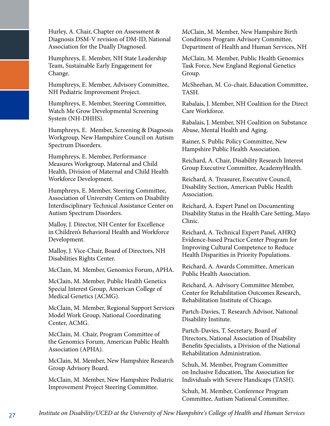Hurley, A. Chair, Chapter on Assessment & Diagnosis DSM-V revision of DM-ID, National Association for the Dually Diagnosed.

Humphreys, E. Member, NH State Leadership Team, Sustainable Early Engagement for Change.

Humphreys, E. Member, Advisory Committee, NH Pediatric Improvement Project.

Humphreys, E. Member, Steering Committee, Watch Me Grow Developmental Screening System (NH-DHHS).

Humphreys, E. Member, Screening & Diagnosis Workgroup, New Hampshire Council on Autism Spectrum Disorders.

Humphreys, E. Member, Performance Measures Workgroup, Maternal and Child Health, Division of Maternal and Child Health Workforce Development.

Humphreys, E. Member, Steering Committee, Association of University Centers on Disability Interdisciplinary Technical Assistance Center on Autism Spectrum Disorders.

Malloy, J. Director, NH Center for Excellence in Children's Behavioral Health and Workforce Development.

Malloy, J. Vice-Chair, Board of Directors, NH Disabilities Rights Center.

McClain, M. Member, Genomics Forum, APHA.

McClain, M. Member, Public Health Genetics Special Interest Group, American College of Medical Genetics (ACMG).

McClain, M. Member, Regional Support Services Model Work Group, National Coordinating Center, ACMG.

McClain, M. Chair, Program Committee of the Genomics Forum, American Public Health Association (APHA).

McClain, M. Member, New Hampshire Research Group Advisory Board.

McClain, M. Member, New Hampshire Pediatric Improvement Project Steering Committee.

McClain, M. Member, New Hampshire Birth Conditions Program Advisory Committee, Department of Health and Human Services, NH

McClain, M. Member, Public Health Genomics Task Force, New England Regional Genetics Group.

McSheehan, M. Co-chair, Education Committee, TASH.

Rabalais, J. Member, NH Coalition for the Direct Care Workforce.

Rabalais, J. Member, NH Coalition on Substance Abuse, Mental Health and Aging.

Rainer, S. Public Policy Committee, New Hampshire Public Health Association.

Reichard, A. Chair, Disability Research Interest Group Executive Committee, AcademyHealth.

Reichard, A. Treasurer, Executive Council, Disability Section, American Public Health Association.

Reichard, A. Expert Panel on Documenting Disability Status in the Health Care Setting, Mayo Clinic.

Reichard, A. Technical Expert Panel, AHRQ Evidence-based Practice Center Program for Improving Cultural Competence to Reduce Health Disparities in Priority Populations.

Reichard, A. Awards Committee, American Public Health Association.

Reichard, A. Advisory Committee Member, Center for Rehabilitation Outcomes Research, Rehabilitation Institute of Chicago.

Partch-Davies, T. Research Advisor, National Disability Institute.

Partch-Davies, T. Secretary, Board of Directors, National Association of Disability Benefits Specialists, a Division of the National Rehabilitation Administration.

Schuh, M. Member, Program Committee on Inclusive Education, The Association for Individuals with Severe Handicaps (TASH).

Schuh, M. Member, Conference Program Committee, Autism National Committee.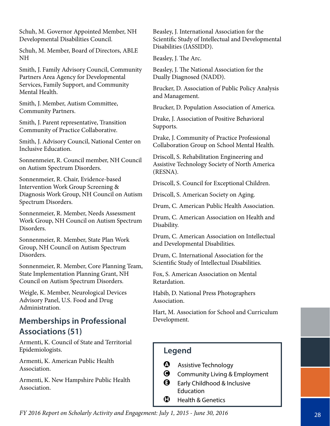Schuh, M. Governor Appointed Member, NH Developmental Disabilities Council.

Schuh, M. Member, Board of Directors, ABLE NH

Smith, J. Family Advisory Council, Community Partners Area Agency for Developmental Services, Family Support, and Community Mental Health.

Smith, J. Member, Autism Committee, Community Partners.

Smith, J. Parent representative, Transition Community of Practice Collaborative.

Smith, J. Advisory Council, National Center on Inclusive Education.

Sonnenmeier, R. Council member, NH Council on Autism Spectrum Disorders.

Sonnenmeier, R. Chair, Evidence-based Intervention Work Group Screening & Diagnosis Work Group, NH Council on Autism Spectrum Disorders.

Sonnenmeier, R. Member, Needs Assessment Work Group, NH Council on Autism Spectrum Disorders.

Sonnenmeier, R. Member, State Plan Work Group, NH Council on Autism Spectrum Disorders.

Sonnenmeier, R. Member, Core Planning Team, State Implementation Planning Grant, NH Council on Autism Spectrum Disorders.

Weigle, K. Member, Neurological Devices Advisory Panel, U.S. Food and Drug Administration.

#### **Memberships in Professional Associations (51)**

Armenti, K. Council of State and Territorial Epidemiologists.

Armenti, K. American Public Health Association.

Armenti, K. New Hampshire Public Health Association.

Beasley, J. International Association for the Scientific Study of Intellectual and Developmental Disabilities (IASSIDD).

Beasley, J. The Arc.

Beasley, J. The National Association for the Dually Diagnosed (NADD).

Brucker, D. Association of Public Policy Analysis and Management.

Brucker, D. Population Association of America.

Drake, J. Association of Positive Behavioral Supports.

Drake, J. Community of Practice Professional Collaboration Group on School Mental Health.

Driscoll, S. Rehabilitation Engineering and Assistive Technology Society of North America (RESNA).

Driscoll, S. Council for Exceptional Children.

Driscoll, S. American Society on Aging.

Drum, C. American Public Health Association.

Drum, C. American Association on Health and Disability.

Drum, C. American Association on Intellectual and Developmental Disabilities.

Drum, C. International Association for the Scientific Study of Intellectual Disabilities.

Fox, S. American Association on Mental Retardation.

Habib, D. National Press Photographers Association.

Hart, M. Association for School and Curriculum Development.

- $\bullet$  Assistive Technology
- **G** Community Living & Employment
- $\Theta$  Early Childhood & Inclusive Education
- $\mathbf \Theta$  Health & Genetics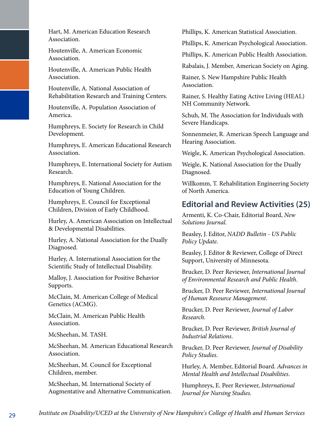Hart, M. American Education Research Association.

Houtenville, A. American Economic Association.

Houtenville, A. American Public Health Association.

Houtenville, A. National Association of Rehabilitation Research and Training Centers.

Houtenville, A. Population Association of America.

Humphreys, E. Society for Research in Child Development.

Humphreys, E. American Educational Research Association.

Humphreys, E. International Society for Autism Research.

Humphreys, E. National Association for the Education of Young Children.

Humphreys, E. Council for Exceptional Children, Division of Early Childhood.

Hurley, A. American Association on Intellectual & Developmental Disabilities.

Hurley, A. National Association for the Dually Diagnosed.

Hurley, A. International Association for the Scientific Study of Intellectual Disability.

Malloy, J. Association for Positive Behavior Supports.

McClain, M. American College of Medical Genetics (ACMG).

McClain, M. American Public Health Association.

McSheehan, M. TASH.

McSheehan, M. American Educational Research Association.

McSheehan, M. Council for Exceptional Children, member.

McSheehan, M. International Society of Augmentative and Alternative Communication. Phillips, K. American Statistical Association.

Phillips, K. American Psychological Association.

Phillips, K. American Public Health Association.

Rabalais, J. Member, American Society on Aging.

Rainer, S. New Hampshire Public Health Association.

Rainer, S. Healthy Eating Active Living (HEAL) NH Community Network.

Schuh, M. The Association for Individuals with Severe Handicaps.

Sonnenmeier, R. American Speech Language and Hearing Association.

Weigle, K. American Psychological Association.

Weigle, K. National Association for the Dually Diagnosed.

Willkomm, T. Rehabilitation Engineering Society of North America.

#### **Editorial and Review Activities (25)**

Armenti, K. Co-Chair, Editorial Board, *New Solutions Journal*.

Beasley, J. Editor, *NADD Bulletin - US Public Policy Update*.

Beasley, J. Editor & Reviewer, College of Direct Support, University of Minnesota.

Brucker, D. Peer Reviewer, *International Journal of Environmental Research and Public Health*.

Brucker, D. Peer Reviewer, *International Journal of Human Resource Management*.

Brucker, D. Peer Reviewer, *Journal of Labor Research*.

Brucker, D. Peer Reviewer, *British Journal of Industrial Relations*.

Brucker, D. Peer Reviewer, *Journal of Disability Policy Studies*.

Hurley, A. Member, Editorial Board. *Advances in Mental Health and Intellectual Disabilities*.

Humphreys, E. Peer Reviewer, *International Journal for Nursing Studies*.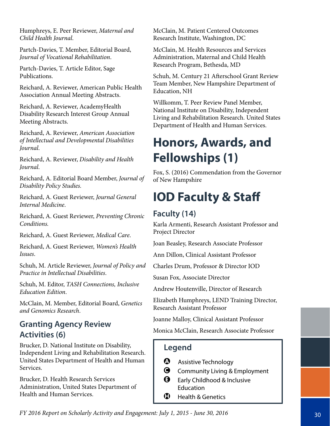Humphreys, E. Peer Reviewer, *Maternal and Child Health Journal*.

Partch-Davies, T. Member, Editorial Board, *Journal of Vocational Rehabilitation*.

Partch-Davies, T. Article Editor, Sage Publications.

Reichard, A. Reviewer, American Public Health Association Annual Meeting Abstracts.

Reichard, A. Reviewer, AcademyHealth Disability Research Interest Group Annual Meeting Abstracts.

Reichard, A. Reviewer, *American Association of Intellectual and Developmental Disabilities Journal*.

Reichard, A. Reviewer, *Disability and Health Journal*.

Reichard, A. Editorial Board Member, *Journal of Disability Policy Studies.*

Reichard, A. Guest Reviewer, *Journal General Internal Medicine*.

Reichard, A. Guest Reviewer, *Preventing Chronic Conditions.*

Reichard, A. Guest Reviewer, *Medical Care*.

Reichard, A. Guest Reviewer, *Women's Health Issues*.

Schuh, M. Article Reviewer, *Journal of Policy and Practice in Intellectual Disabilities*.

Schuh, M. Editor, *TASH Connections, Inclusive Education Edition*.

McClain, M. Member, Editorial Board, *Genetics and Genomics Research*.

#### **Granting Agency Review Activities (6)**

Brucker, D. National Institute on Disability, Independent Living and Rehabilitation Research. United States Department of Health and Human Services.

Brucker, D. Health Research Services Administration, United States Department of Health and Human Services.

McClain, M. Patient Centered Outcomes Research Institute, Washington, DC

McClain, M. Health Resources and Services Administration, Maternal and Child Health Research Program, Bethesda, MD

Schuh, M. Century 21 Afterschool Grant Review Team Member, New Hampshire Department of Education, NH

Willkomm, T. Peer Review Panel Member, National Institute on Disability, Independent Living and Rehabilitation Research. United States Department of Health and Human Services.

### **Honors, Awards, and Fellowships (1)**

Fox, S. (2016) Commendation from the Governor of New Hampshire

### **IOD Faculty & Staff**

#### **Faculty (14)**

Karla Armenti, Research Assistant Professor and Project Director

Joan Beasley, Research Associate Professor

Ann Dillon, Clinical Assistant Professor

Charles Drum, Professor & Director IOD

Susan Fox, Associate Director

Andrew Houtenville, Director of Research

Elizabeth Humphreys, LEND Training Director, Research Assistant Professor

Joanne Malloy, Clinical Assistant Professor

Monica McClain, Research Associate Professor

- $\bullet$  Assistive Technology
- **G** Community Living & Employment
- $\Theta$  Early Childhood & Inclusive Education
- $\bigoplus$  Health & Genetics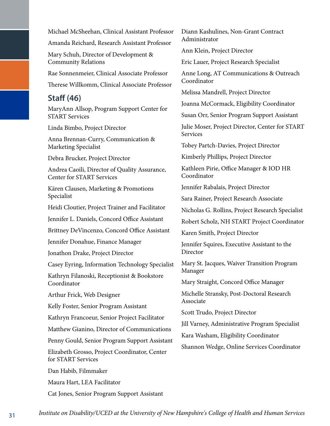Michael McSheehan, Clinical Assistant Professor

Amanda Reichard, Research Assistant Professor

Mary Schuh, Director of Development & Community Relations

Rae Sonnenmeier, Clinical Associate Professor

Therese Willkomm, Clinical Associate Professor

#### **Staff (46)**

MaryAnn Allsop, Program Support Center for START Services

Linda Bimbo, Project Director

Anna Brennan-Curry, Communication & Marketing Specialist

Debra Brucker, Project Director

Andrea Caoili, Director of Quality Assurance, Center for START Services

Kären Clausen, Marketing & Promotions Specialist

Heidi Cloutier, Project Trainer and Facilitator

Jennifer L. Daniels, Concord Office Assistant

Brittney DeVincenzo, Concord Office Assistant

Jennifer Donahue, Finance Manager

Jonathon Drake, Project Director

Casey Eyring, Information Technology Specialist

Kathryn Filanoski, Receptionist & Bookstore Coordinator

Arthur Frick, Web Designer

Kelly Foster, Senior Program Assistant

Kathryn Francoeur, Senior Project Facilitator

Matthew Gianino, Director of Communications

Penny Gould, Senior Program Support Assistant

Elizabeth Grosso, Project Coordinator, Center for START Services

Dan Habib, Filmmaker

Maura Hart, LEA Facilitator

Cat Jones, Senior Program Support Assistant

Diann Kashulines, Non-Grant Contract Administrator

Ann Klein, Project Director

Eric Lauer, Project Research Specialist

Anne Long, AT Communications & Outreach Coordinator

Melissa Mandrell, Project Director

Joanna McCormack, Eligibility Coordinator

Susan Orr, Senior Program Support Assistant

Julie Moser, Project Director, Center for START **Services** 

Tobey Partch-Davies, Project Director

Kimberly Phillips, Project Director

Kathleen Pirie, Office Manager & IOD HR Coordinator

Jennifer Rabalais, Project Director

Sara Rainer, Project Research Associate

Nicholas G. Rollins, Project Research Specialist

Robert Scholz, NH START Project Coordinator

Karen Smith, Project Director

Jennifer Squires, Executive Assistant to the Director

Mary St. Jacques, Waiver Transition Program Manager

Mary Straight, Concord Office Manager

Michelle Stransky, Post-Doctoral Research Associate

Scott Trudo, Project Director

Jill Varney, Administrative Program Specialist

Kara Washam, Eligibility Coordinator

Shannon Wedge, Online Services Coordinator